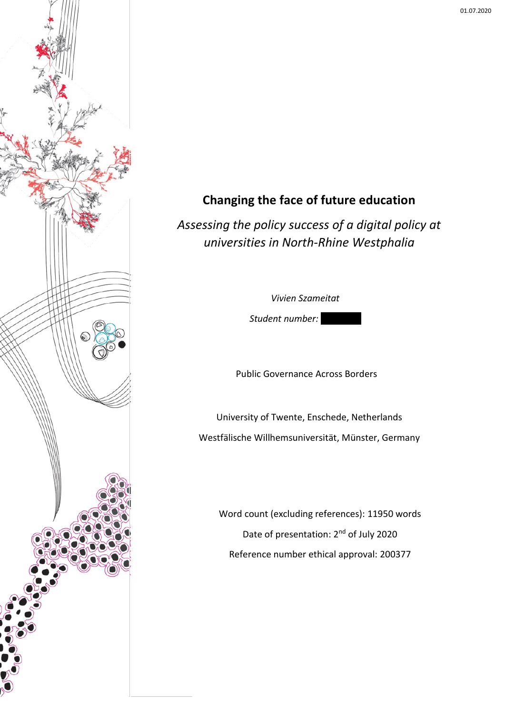

# **Changing the face of future education**

*Assessing the policy success of a digital policy at universities in North-Rhine Westphalia*

*Vivien Szameitat*

Student number:

Public Governance Across Borders

University of Twente, Enschede, Netherlands Westfälische Willhemsuniversität, Münster, Germany

Word count (excluding references): 11950 words Date of presentation: 2<sup>nd</sup> of July 2020 Reference number ethical approval: 200377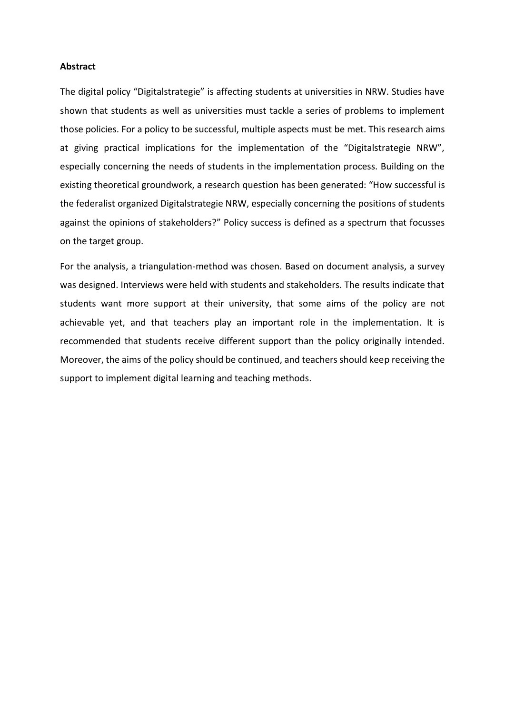#### **Abstract**

The digital policy "Digitalstrategie" is affecting students at universities in NRW. Studies have shown that students as well as universities must tackle a series of problems to implement those policies. For a policy to be successful, multiple aspects must be met. This research aims at giving practical implications for the implementation of the "Digitalstrategie NRW", especially concerning the needs of students in the implementation process. Building on the existing theoretical groundwork, a research question has been generated: "How successful is the federalist organized Digitalstrategie NRW, especially concerning the positions of students against the opinions of stakeholders?" Policy success is defined as a spectrum that focusses on the target group.

For the analysis, a triangulation-method was chosen. Based on document analysis, a survey was designed. Interviews were held with students and stakeholders. The results indicate that students want more support at their university, that some aims of the policy are not achievable yet, and that teachers play an important role in the implementation. It is recommended that students receive different support than the policy originally intended. Moreover, the aims of the policy should be continued, and teachers should keep receiving the support to implement digital learning and teaching methods.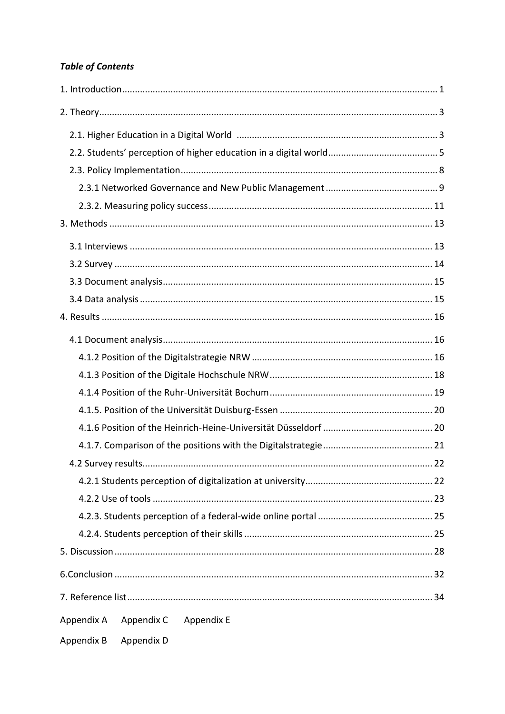# **Table of Contents**

|                                        | 22 |
|----------------------------------------|----|
|                                        |    |
|                                        |    |
|                                        |    |
|                                        |    |
|                                        |    |
|                                        |    |
|                                        |    |
| Appendix A<br>Appendix C<br>Appendix E |    |
| Appendix B<br>Appendix D               |    |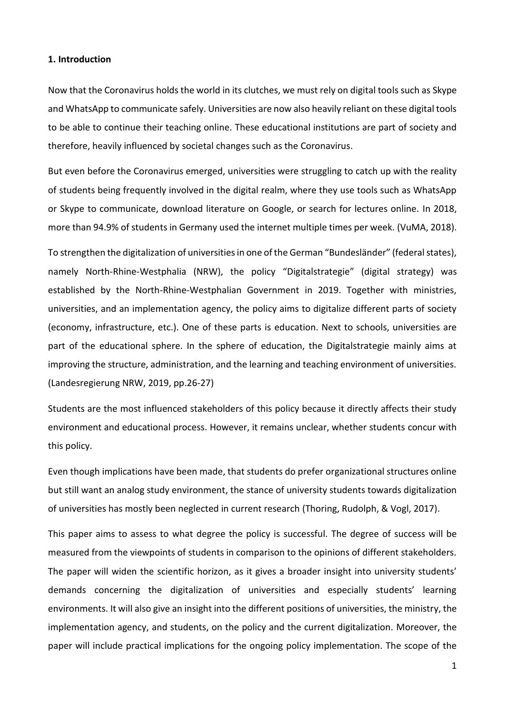#### <span id="page-3-0"></span>**1. Introduction**

Now that the Coronavirus holds the world in its clutches, we must rely on digital tools such as Skype and WhatsApp to communicate safely. Universities are now also heavily reliant on these digital tools to be able to continue their teaching online. These educational institutions are part of society and therefore, heavily influenced by societal changes such as the Coronavirus.

But even before the Coronavirus emerged, universities were struggling to catch up with the reality of students being frequently involved in the digital realm, where they use tools such as WhatsApp or Skype to communicate, download literature on Google, or search for lectures online. In 2018, more than 94.9% of students in Germany used the internet multiple times per week. (VuMA, 2018).

To strengthen the digitalization of universities in one of the German "Bundesländer" (federal states), namely North-Rhine-Westphalia (NRW), the policy "Digitalstrategie" (digital strategy) was established by the North-Rhine-Westphalian Government in 2019. Together with ministries, universities, and an implementation agency, the policy aims to digitalize different parts of society (economy, infrastructure, etc.). One of these parts is education. Next to schools, universities are part of the educational sphere. In the sphere of education, the Digitalstrategie mainly aims at improving the structure, administration, and the learning and teaching environment of universities. (Landesregierung NRW, 2019, pp.26-27)

Students are the most influenced stakeholders of this policy because it directly affects their study environment and educational process. However, it remains unclear, whether students concur with this policy.

Even though implications have been made, that students do prefer organizational structures online but still want an analog study environment, the stance of university students towards digitalization of universities has mostly been neglected in current research (Thoring, Rudolph, & Vogl, 2017).

This paper aims to assess to what degree the policy is successful. The degree of success will be measured from the viewpoints of students in comparison to the opinions of different stakeholders. The paper will widen the scientific horizon, as it gives a broader insight into university students' demands concerning the digitalization of universities and especially students' learning environments. It will also give an insight into the different positions of universities, the ministry, the implementation agency, and students, on the policy and the current digitalization. Moreover, the paper will include practical implications for the ongoing policy implementation. The scope of the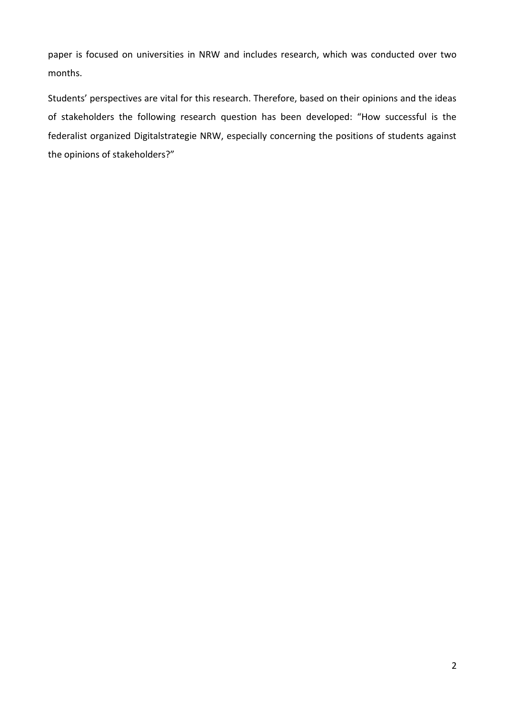paper is focused on universities in NRW and includes research, which was conducted over two months.

Students' perspectives are vital for this research. Therefore, based on their opinions and the ideas of stakeholders the following research question has been developed: "How successful is the federalist organized Digitalstrategie NRW, especially concerning the positions of students against the opinions of stakeholders?"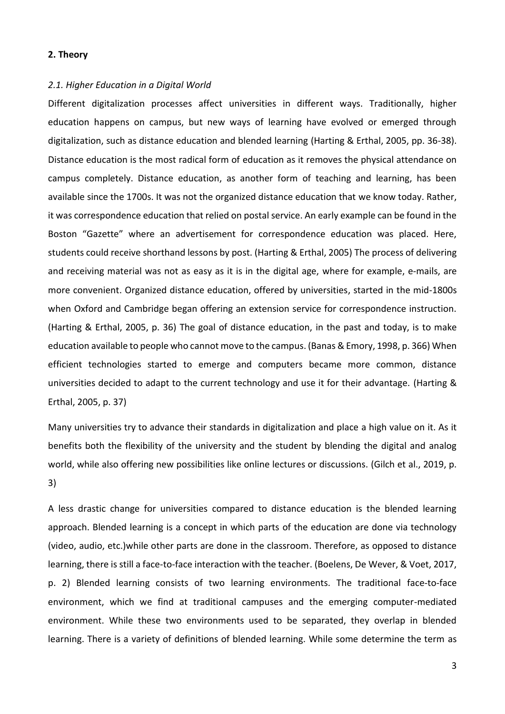#### <span id="page-5-0"></span>**2. Theory**

#### <span id="page-5-1"></span>*2.1. Higher Education in a Digital World*

Different digitalization processes affect universities in different ways. Traditionally, higher education happens on campus, but new ways of learning have evolved or emerged through digitalization, such as distance education and blended learning (Harting & Erthal, 2005, pp. 36-38). Distance education is the most radical form of education as it removes the physical attendance on campus completely. Distance education, as another form of teaching and learning, has been available since the 1700s. It was not the organized distance education that we know today. Rather, it was correspondence education that relied on postal service. An early example can be found in the Boston "Gazette" where an advertisement for correspondence education was placed. Here, students could receive shorthand lessons by post. (Harting & Erthal, 2005) The process of delivering and receiving material was not as easy as it is in the digital age, where for example, e-mails, are more convenient. Organized distance education, offered by universities, started in the mid-1800s when Oxford and Cambridge began offering an extension service for correspondence instruction. (Harting & Erthal, 2005, p. 36) The goal of distance education, in the past and today, is to make education available to people who cannot move to the campus. (Banas & Emory, 1998, p. 366) When efficient technologies started to emerge and computers became more common, distance universities decided to adapt to the current technology and use it for their advantage. (Harting & Erthal, 2005, p. 37)

Many universities try to advance their standards in digitalization and place a high value on it. As it benefits both the flexibility of the university and the student by blending the digital and analog world, while also offering new possibilities like online lectures or discussions. (Gilch et al., 2019, p. 3)

A less drastic change for universities compared to distance education is the blended learning approach. Blended learning is a concept in which parts of the education are done via technology (video, audio, etc.)while other parts are done in the classroom. Therefore, as opposed to distance learning, there is still a face-to-face interaction with the teacher. (Boelens, De Wever, & Voet, 2017, p. 2) Blended learning consists of two learning environments. The traditional face-to-face environment, which we find at traditional campuses and the emerging computer-mediated environment. While these two environments used to be separated, they overlap in blended learning. There is a variety of definitions of blended learning. While some determine the term as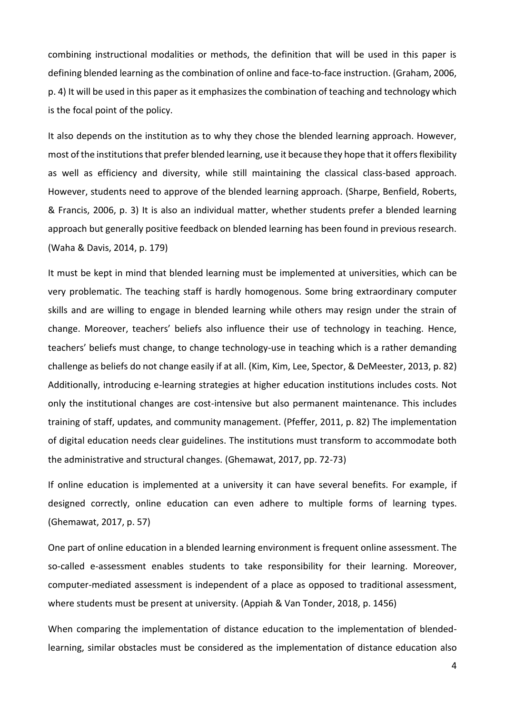combining instructional modalities or methods, the definition that will be used in this paper is defining blended learning as the combination of online and face-to-face instruction. (Graham, 2006, p. 4) It will be used in this paper as it emphasizes the combination of teaching and technology which is the focal point of the policy.

It also depends on the institution as to why they chose the blended learning approach. However, most of the institutionsthat prefer blended learning, use it because they hope that it offers flexibility as well as efficiency and diversity, while still maintaining the classical class-based approach. However, students need to approve of the blended learning approach. (Sharpe, Benfield, Roberts, & Francis, 2006, p. 3) It is also an individual matter, whether students prefer a blended learning approach but generally positive feedback on blended learning has been found in previous research. (Waha & Davis, 2014, p. 179)

It must be kept in mind that blended learning must be implemented at universities, which can be very problematic. The teaching staff is hardly homogenous. Some bring extraordinary computer skills and are willing to engage in blended learning while others may resign under the strain of change. Moreover, teachers' beliefs also influence their use of technology in teaching. Hence, teachers' beliefs must change, to change technology-use in teaching which is a rather demanding challenge as beliefs do not change easily if at all. (Kim, Kim, Lee, Spector, & DeMeester, 2013, p. 82) Additionally, introducing e-learning strategies at higher education institutions includes costs. Not only the institutional changes are cost-intensive but also permanent maintenance. This includes training of staff, updates, and community management. (Pfeffer, 2011, p. 82) The implementation of digital education needs clear guidelines. The institutions must transform to accommodate both the administrative and structural changes. (Ghemawat, 2017, pp. 72-73)

If online education is implemented at a university it can have several benefits. For example, if designed correctly, online education can even adhere to multiple forms of learning types. (Ghemawat, 2017, p. 57)

One part of online education in a blended learning environment is frequent online assessment. The so-called e-assessment enables students to take responsibility for their learning. Moreover, computer-mediated assessment is independent of a place as opposed to traditional assessment, where students must be present at university. (Appiah & Van Tonder, 2018, p. 1456)

When comparing the implementation of distance education to the implementation of blendedlearning, similar obstacles must be considered as the implementation of distance education also

4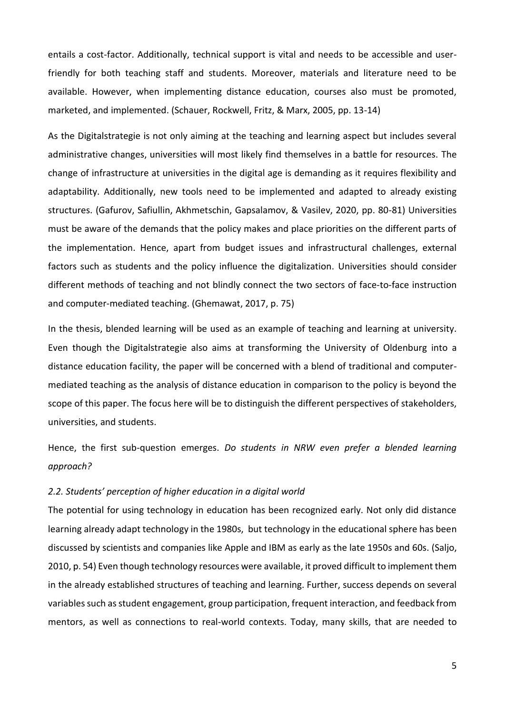entails a cost-factor. Additionally, technical support is vital and needs to be accessible and userfriendly for both teaching staff and students. Moreover, materials and literature need to be available. However, when implementing distance education, courses also must be promoted, marketed, and implemented. (Schauer, Rockwell, Fritz, & Marx, 2005, pp. 13-14)

As the Digitalstrategie is not only aiming at the teaching and learning aspect but includes several administrative changes, universities will most likely find themselves in a battle for resources. The change of infrastructure at universities in the digital age is demanding as it requires flexibility and adaptability. Additionally, new tools need to be implemented and adapted to already existing structures. (Gafurov, Safiullin, Akhmetschin, Gapsalamov, & Vasilev, 2020, pp. 80-81) Universities must be aware of the demands that the policy makes and place priorities on the different parts of the implementation. Hence, apart from budget issues and infrastructural challenges, external factors such as students and the policy influence the digitalization. Universities should consider different methods of teaching and not blindly connect the two sectors of face-to-face instruction and computer-mediated teaching. (Ghemawat, 2017, p. 75)

In the thesis, blended learning will be used as an example of teaching and learning at university. Even though the Digitalstrategie also aims at transforming the University of Oldenburg into a distance education facility, the paper will be concerned with a blend of traditional and computermediated teaching as the analysis of distance education in comparison to the policy is beyond the scope of this paper. The focus here will be to distinguish the different perspectives of stakeholders, universities, and students.

Hence, the first sub-question emerges. *Do students in NRW even prefer a blended learning approach?*

#### <span id="page-7-0"></span>*2.2. Students' perception of higher education in a digital world*

The potential for using technology in education has been recognized early. Not only did distance learning already adapt technology in the 1980s, but technology in the educational sphere has been discussed by scientists and companies like Apple and IBM as early as the late 1950s and 60s. (Saljo, 2010, p. 54) Even though technology resources were available, it proved difficult to implement them in the already established structures of teaching and learning. Further, success depends on several variables such as student engagement, group participation, frequent interaction, and feedback from mentors, as well as connections to real-world contexts. Today, many skills, that are needed to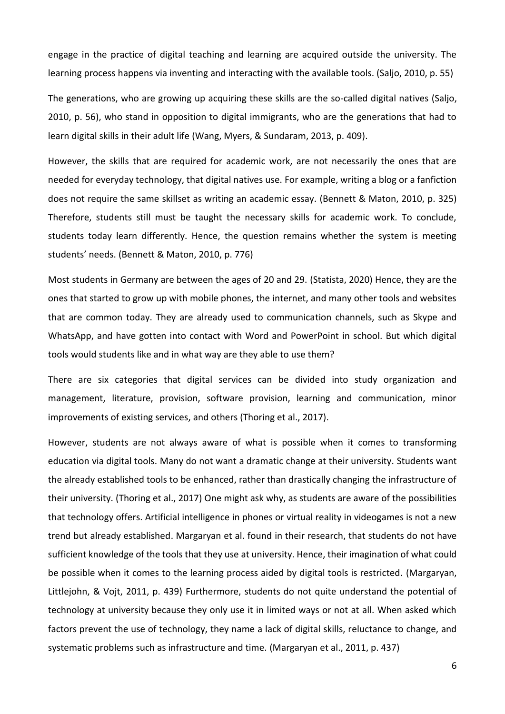engage in the practice of digital teaching and learning are acquired outside the university. The learning process happens via inventing and interacting with the available tools. (Saljo, 2010, p. 55)

The generations, who are growing up acquiring these skills are the so-called digital natives (Saljo, 2010, p. 56), who stand in opposition to digital immigrants, who are the generations that had to learn digital skills in their adult life (Wang, Myers, & Sundaram, 2013, p. 409).

However, the skills that are required for academic work, are not necessarily the ones that are needed for everyday technology, that digital natives use. For example, writing a blog or a fanfiction does not require the same skillset as writing an academic essay. (Bennett & Maton, 2010, p. 325) Therefore, students still must be taught the necessary skills for academic work. To conclude, students today learn differently. Hence, the question remains whether the system is meeting students' needs. (Bennett & Maton, 2010, p. 776)

Most students in Germany are between the ages of 20 and 29. (Statista, 2020) Hence, they are the ones that started to grow up with mobile phones, the internet, and many other tools and websites that are common today. They are already used to communication channels, such as Skype and WhatsApp, and have gotten into contact with Word and PowerPoint in school. But which digital tools would students like and in what way are they able to use them?

There are six categories that digital services can be divided into study organization and management, literature, provision, software provision, learning and communication, minor improvements of existing services, and others (Thoring et al., 2017).

However, students are not always aware of what is possible when it comes to transforming education via digital tools. Many do not want a dramatic change at their university. Students want the already established tools to be enhanced, rather than drastically changing the infrastructure of their university. (Thoring et al., 2017) One might ask why, as students are aware of the possibilities that technology offers. Artificial intelligence in phones or virtual reality in videogames is not a new trend but already established. Margaryan et al. found in their research, that students do not have sufficient knowledge of the tools that they use at university. Hence, their imagination of what could be possible when it comes to the learning process aided by digital tools is restricted. (Margaryan, Littlejohn, & Vojt, 2011, p. 439) Furthermore, students do not quite understand the potential of technology at university because they only use it in limited ways or not at all. When asked which factors prevent the use of technology, they name a lack of digital skills, reluctance to change, and systematic problems such as infrastructure and time. (Margaryan et al., 2011, p. 437)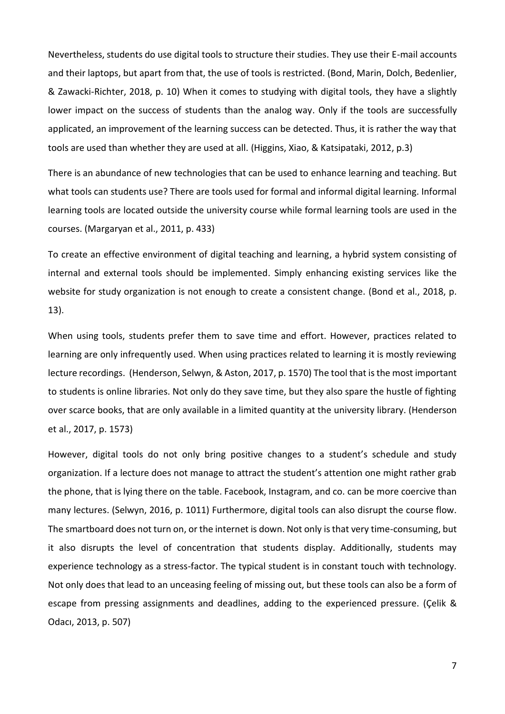Nevertheless, students do use digital tools to structure their studies. They use their E-mail accounts and their laptops, but apart from that, the use of tools is restricted. (Bond, Marin, Dolch, Bedenlier, & Zawacki-Richter, 2018, p. 10) When it comes to studying with digital tools, they have a slightly lower impact on the success of students than the analog way. Only if the tools are successfully applicated, an improvement of the learning success can be detected. Thus, it is rather the way that tools are used than whether they are used at all. (Higgins, Xiao, & Katsipataki, 2012, p.3)

There is an abundance of new technologies that can be used to enhance learning and teaching. But what tools can students use? There are tools used for formal and informal digital learning. Informal learning tools are located outside the university course while formal learning tools are used in the courses. (Margaryan et al., 2011, p. 433)

To create an effective environment of digital teaching and learning, a hybrid system consisting of internal and external tools should be implemented. Simply enhancing existing services like the website for study organization is not enough to create a consistent change. (Bond et al., 2018, p. 13).

When using tools, students prefer them to save time and effort. However, practices related to learning are only infrequently used. When using practices related to learning it is mostly reviewing lecture recordings. (Henderson, Selwyn, & Aston, 2017, p. 1570) The tool that is the most important to students is online libraries. Not only do they save time, but they also spare the hustle of fighting over scarce books, that are only available in a limited quantity at the university library. (Henderson et al., 2017, p. 1573)

However, digital tools do not only bring positive changes to a student's schedule and study organization. If a lecture does not manage to attract the student's attention one might rather grab the phone, that is lying there on the table. Facebook, Instagram, and co. can be more coercive than many lectures. (Selwyn, 2016, p. 1011) Furthermore, digital tools can also disrupt the course flow. The smartboard does not turn on, or the internet is down. Not only is that very time-consuming, but it also disrupts the level of concentration that students display. Additionally, students may experience technology as a stress-factor. The typical student is in constant touch with technology. Not only does that lead to an unceasing feeling of missing out, but these tools can also be a form of escape from pressing assignments and deadlines, adding to the experienced pressure. (Çelik & Odacı, 2013, p. 507)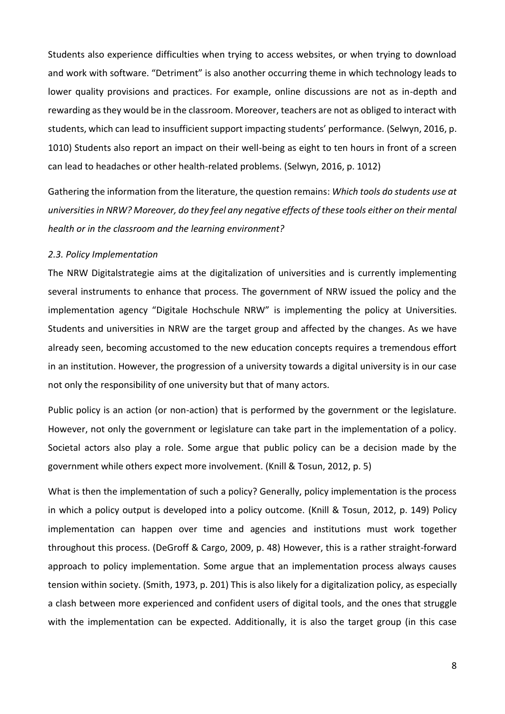Students also experience difficulties when trying to access websites, or when trying to download and work with software. "Detriment" is also another occurring theme in which technology leads to lower quality provisions and practices. For example, online discussions are not as in-depth and rewarding as they would be in the classroom. Moreover, teachers are not as obliged to interact with students, which can lead to insufficient support impacting students' performance. (Selwyn, 2016, p. 1010) Students also report an impact on their well-being as eight to ten hours in front of a screen can lead to headaches or other health-related problems. (Selwyn, 2016, p. 1012)

Gathering the information from the literature, the question remains: *Which tools do students use at universities in NRW? Moreover, do they feel any negative effects of these tools either on their mental health or in the classroom and the learning environment?* 

#### <span id="page-10-0"></span>*2.3. Policy Implementation*

The NRW Digitalstrategie aims at the digitalization of universities and is currently implementing several instruments to enhance that process. The government of NRW issued the policy and the implementation agency "Digitale Hochschule NRW" is implementing the policy at Universities. Students and universities in NRW are the target group and affected by the changes. As we have already seen, becoming accustomed to the new education concepts requires a tremendous effort in an institution. However, the progression of a university towards a digital university is in our case not only the responsibility of one university but that of many actors.

Public policy is an action (or non-action) that is performed by the government or the legislature. However, not only the government or legislature can take part in the implementation of a policy. Societal actors also play a role. Some argue that public policy can be a decision made by the government while others expect more involvement. (Knill & Tosun, 2012, p. 5)

What is then the implementation of such a policy? Generally, policy implementation is the process in which a policy output is developed into a policy outcome. (Knill & Tosun, 2012, p. 149) Policy implementation can happen over time and agencies and institutions must work together throughout this process. (DeGroff & Cargo, 2009, p. 48) However, this is a rather straight-forward approach to policy implementation. Some argue that an implementation process always causes tension within society. (Smith, 1973, p. 201) This is also likely for a digitalization policy, as especially a clash between more experienced and confident users of digital tools, and the ones that struggle with the implementation can be expected. Additionally, it is also the target group (in this case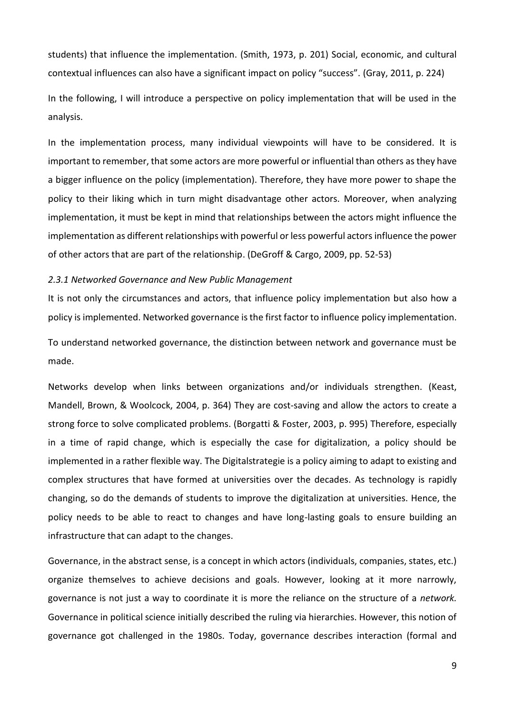students) that influence the implementation. (Smith, 1973, p. 201) Social, economic, and cultural contextual influences can also have a significant impact on policy "success". (Gray, 2011, p. 224)

In the following, I will introduce a perspective on policy implementation that will be used in the analysis.

In the implementation process, many individual viewpoints will have to be considered. It is important to remember, that some actors are more powerful or influential than others as they have a bigger influence on the policy (implementation). Therefore, they have more power to shape the policy to their liking which in turn might disadvantage other actors. Moreover, when analyzing implementation, it must be kept in mind that relationships between the actors might influence the implementation as different relationships with powerful or less powerful actors influence the power of other actors that are part of the relationship. (DeGroff & Cargo, 2009, pp. 52-53)

#### <span id="page-11-0"></span>*2.3.1 Networked Governance and New Public Management*

It is not only the circumstances and actors, that influence policy implementation but also how a policy is implemented. Networked governance is the first factor to influence policy implementation.

To understand networked governance, the distinction between network and governance must be made.

Networks develop when links between organizations and/or individuals strengthen. (Keast, Mandell, Brown, & Woolcock, 2004, p. 364) They are cost-saving and allow the actors to create a strong force to solve complicated problems. (Borgatti & Foster, 2003, p. 995) Therefore, especially in a time of rapid change, which is especially the case for digitalization, a policy should be implemented in a rather flexible way. The Digitalstrategie is a policy aiming to adapt to existing and complex structures that have formed at universities over the decades. As technology is rapidly changing, so do the demands of students to improve the digitalization at universities. Hence, the policy needs to be able to react to changes and have long-lasting goals to ensure building an infrastructure that can adapt to the changes.

Governance, in the abstract sense, is a concept in which actors (individuals, companies, states, etc.) organize themselves to achieve decisions and goals. However, looking at it more narrowly, governance is not just a way to coordinate it is more the reliance on the structure of a *network.*  Governance in political science initially described the ruling via hierarchies. However, this notion of governance got challenged in the 1980s. Today, governance describes interaction (formal and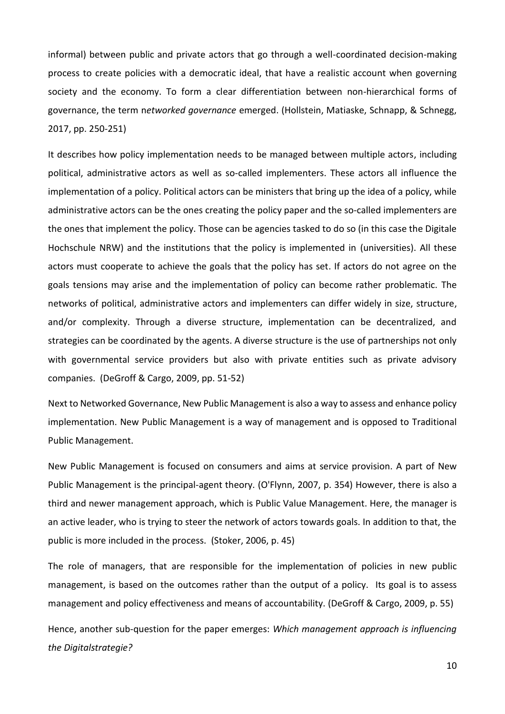informal) between public and private actors that go through a well-coordinated decision-making process to create policies with a democratic ideal, that have a realistic account when governing society and the economy. To form a clear differentiation between non-hierarchical forms of governance, the term n*etworked governance* emerged. (Hollstein, Matiaske, Schnapp, & Schnegg, 2017, pp. 250-251)

It describes how policy implementation needs to be managed between multiple actors, including political, administrative actors as well as so-called implementers. These actors all influence the implementation of a policy. Political actors can be ministers that bring up the idea of a policy, while administrative actors can be the ones creating the policy paper and the so-called implementers are the ones that implement the policy. Those can be agencies tasked to do so (in this case the Digitale Hochschule NRW) and the institutions that the policy is implemented in (universities). All these actors must cooperate to achieve the goals that the policy has set. If actors do not agree on the goals tensions may arise and the implementation of policy can become rather problematic. The networks of political, administrative actors and implementers can differ widely in size, structure, and/or complexity. Through a diverse structure, implementation can be decentralized, and strategies can be coordinated by the agents. A diverse structure is the use of partnerships not only with governmental service providers but also with private entities such as private advisory companies. (DeGroff & Cargo, 2009, pp. 51-52)

Next to Networked Governance, New Public Management is also a way to assess and enhance policy implementation. New Public Management is a way of management and is opposed to Traditional Public Management.

New Public Management is focused on consumers and aims at service provision. A part of New Public Management is the principal-agent theory. (O'Flynn, 2007, p. 354) However, there is also a third and newer management approach, which is Public Value Management. Here, the manager is an active leader, who is trying to steer the network of actors towards goals. In addition to that, the public is more included in the process. (Stoker, 2006, p. 45)

The role of managers, that are responsible for the implementation of policies in new public management, is based on the outcomes rather than the output of a policy. Its goal is to assess management and policy effectiveness and means of accountability. (DeGroff & Cargo, 2009, p. 55)

Hence, another sub-question for the paper emerges: *Which management approach is influencing the Digitalstrategie?*

10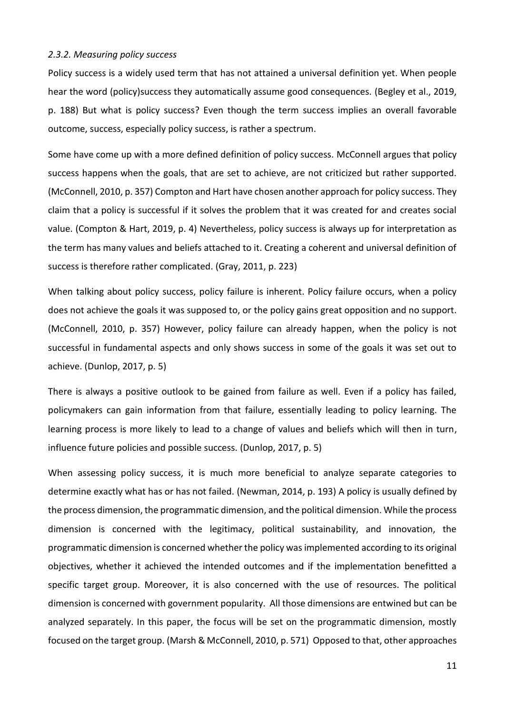#### <span id="page-13-0"></span>*2.3.2. Measuring policy success*

Policy success is a widely used term that has not attained a universal definition yet. When people hear the word (policy)success they automatically assume good consequences. (Begley et al., 2019, p. 188) But what is policy success? Even though the term success implies an overall favorable outcome, success, especially policy success, is rather a spectrum.

Some have come up with a more defined definition of policy success. McConnell argues that policy success happens when the goals, that are set to achieve, are not criticized but rather supported. (McConnell, 2010, p. 357) Compton and Hart have chosen another approach for policy success. They claim that a policy is successful if it solves the problem that it was created for and creates social value. (Compton & Hart, 2019, p. 4) Nevertheless, policy success is always up for interpretation as the term has many values and beliefs attached to it. Creating a coherent and universal definition of success is therefore rather complicated. (Gray, 2011, p. 223)

When talking about policy success, policy failure is inherent. Policy failure occurs, when a policy does not achieve the goals it was supposed to, or the policy gains great opposition and no support. (McConnell, 2010, p. 357) However, policy failure can already happen, when the policy is not successful in fundamental aspects and only shows success in some of the goals it was set out to achieve. (Dunlop, 2017, p. 5)

There is always a positive outlook to be gained from failure as well. Even if a policy has failed, policymakers can gain information from that failure, essentially leading to policy learning. The learning process is more likely to lead to a change of values and beliefs which will then in turn, influence future policies and possible success. (Dunlop, 2017, p. 5)

When assessing policy success, it is much more beneficial to analyze separate categories to determine exactly what has or has not failed. (Newman, 2014, p. 193) A policy is usually defined by the process dimension, the programmatic dimension, and the political dimension. While the process dimension is concerned with the legitimacy, political sustainability, and innovation, the programmatic dimension is concerned whether the policy was implemented according to its original objectives, whether it achieved the intended outcomes and if the implementation benefitted a specific target group. Moreover, it is also concerned with the use of resources. The political dimension is concerned with government popularity. All those dimensions are entwined but can be analyzed separately. In this paper, the focus will be set on the programmatic dimension, mostly focused on the target group. (Marsh & McConnell, 2010, p. 571) Opposed to that, other approaches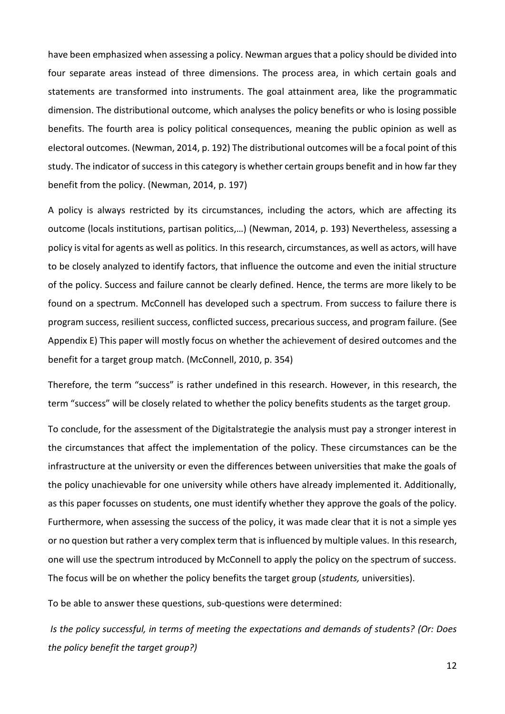have been emphasized when assessing a policy. Newman argues that a policy should be divided into four separate areas instead of three dimensions. The process area, in which certain goals and statements are transformed into instruments. The goal attainment area, like the programmatic dimension. The distributional outcome, which analyses the policy benefits or who is losing possible benefits. The fourth area is policy political consequences, meaning the public opinion as well as electoral outcomes. (Newman, 2014, p. 192) The distributional outcomes will be a focal point of this study. The indicator of success in this category is whether certain groups benefit and in how far they benefit from the policy. (Newman, 2014, p. 197)

A policy is always restricted by its circumstances, including the actors, which are affecting its outcome (locals institutions, partisan politics,…) (Newman, 2014, p. 193) Nevertheless, assessing a policy is vital for agents as well as politics. In this research, circumstances, as well as actors, will have to be closely analyzed to identify factors, that influence the outcome and even the initial structure of the policy. Success and failure cannot be clearly defined. Hence, the terms are more likely to be found on a spectrum. McConnell has developed such a spectrum. From success to failure there is program success, resilient success, conflicted success, precarious success, and program failure. (See Appendix E) This paper will mostly focus on whether the achievement of desired outcomes and the benefit for a target group match. (McConnell, 2010, p. 354)

Therefore, the term "success" is rather undefined in this research. However, in this research, the term "success" will be closely related to whether the policy benefits students as the target group.

To conclude, for the assessment of the Digitalstrategie the analysis must pay a stronger interest in the circumstances that affect the implementation of the policy. These circumstances can be the infrastructure at the university or even the differences between universities that make the goals of the policy unachievable for one university while others have already implemented it. Additionally, as this paper focusses on students, one must identify whether they approve the goals of the policy. Furthermore, when assessing the success of the policy, it was made clear that it is not a simple yes or no question but rather a very complex term that is influenced by multiple values. In this research, one will use the spectrum introduced by McConnell to apply the policy on the spectrum of success. The focus will be on whether the policy benefits the target group (*students,* universities).

To be able to answer these questions, sub-questions were determined:

*Is the policy successful, in terms of meeting the expectations and demands of students? (Or: Does the policy benefit the target group?)*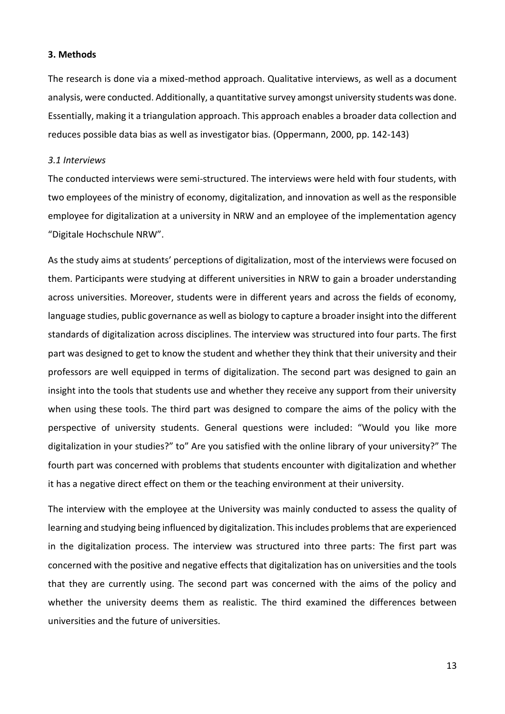#### <span id="page-15-0"></span>**3. Methods**

The research is done via a mixed-method approach. Qualitative interviews, as well as a document analysis, were conducted. Additionally, a quantitative survey amongst university students was done. Essentially, making it a triangulation approach. This approach enables a broader data collection and reduces possible data bias as well as investigator bias. (Oppermann, 2000, pp. 142-143)

#### <span id="page-15-1"></span>*3.1 Interviews*

The conducted interviews were semi-structured. The interviews were held with four students, with two employees of the ministry of economy, digitalization, and innovation as well as the responsible employee for digitalization at a university in NRW and an employee of the implementation agency "Digitale Hochschule NRW".

As the study aims at students' perceptions of digitalization, most of the interviews were focused on them. Participants were studying at different universities in NRW to gain a broader understanding across universities. Moreover, students were in different years and across the fields of economy, language studies, public governance as well as biology to capture a broader insight into the different standards of digitalization across disciplines. The interview was structured into four parts. The first part was designed to get to know the student and whether they think that their university and their professors are well equipped in terms of digitalization. The second part was designed to gain an insight into the tools that students use and whether they receive any support from their university when using these tools. The third part was designed to compare the aims of the policy with the perspective of university students. General questions were included: "Would you like more digitalization in your studies?" to" Are you satisfied with the online library of your university?" The fourth part was concerned with problems that students encounter with digitalization and whether it has a negative direct effect on them or the teaching environment at their university.

The interview with the employee at the University was mainly conducted to assess the quality of learning and studying being influenced by digitalization. This includes problems that are experienced in the digitalization process. The interview was structured into three parts: The first part was concerned with the positive and negative effects that digitalization has on universities and the tools that they are currently using. The second part was concerned with the aims of the policy and whether the university deems them as realistic. The third examined the differences between universities and the future of universities.

13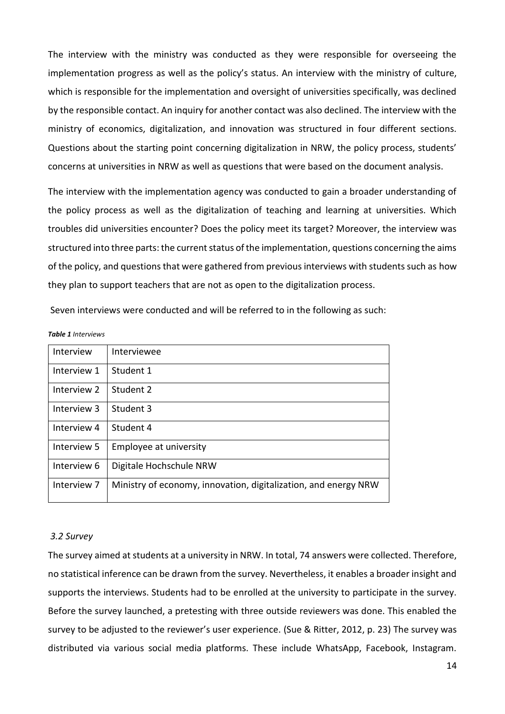The interview with the ministry was conducted as they were responsible for overseeing the implementation progress as well as the policy's status. An interview with the ministry of culture, which is responsible for the implementation and oversight of universities specifically, was declined by the responsible contact. An inquiry for another contact was also declined. The interview with the ministry of economics, digitalization, and innovation was structured in four different sections. Questions about the starting point concerning digitalization in NRW, the policy process, students' concerns at universities in NRW as well as questions that were based on the document analysis.

The interview with the implementation agency was conducted to gain a broader understanding of the policy process as well as the digitalization of teaching and learning at universities. Which troubles did universities encounter? Does the policy meet its target? Moreover, the interview was structured into three parts: the current status of the implementation, questions concerning the aims of the policy, and questions that were gathered from previous interviews with students such as how they plan to support teachers that are not as open to the digitalization process.

Seven interviews were conducted and will be referred to in the following as such:

| Interview   | Interviewee                                                     |
|-------------|-----------------------------------------------------------------|
| Interview 1 | Student 1                                                       |
| Interview 2 | Student 2                                                       |
| Interview 3 | Student 3                                                       |
| Interview 4 | Student 4                                                       |
| Interview 5 | Employee at university                                          |
| Interview 6 | Digitale Hochschule NRW                                         |
| Interview 7 | Ministry of economy, innovation, digitalization, and energy NRW |

#### *Table 1 Interviews*

## <span id="page-16-0"></span>*3.2 Survey*

The survey aimed at students at a university in NRW. In total, 74 answers were collected. Therefore, no statistical inference can be drawn from the survey. Nevertheless, it enables a broader insight and supports the interviews. Students had to be enrolled at the university to participate in the survey. Before the survey launched, a pretesting with three outside reviewers was done. This enabled the survey to be adjusted to the reviewer's user experience. (Sue & Ritter, 2012, p. 23) The survey was distributed via various social media platforms. These include WhatsApp, Facebook, Instagram.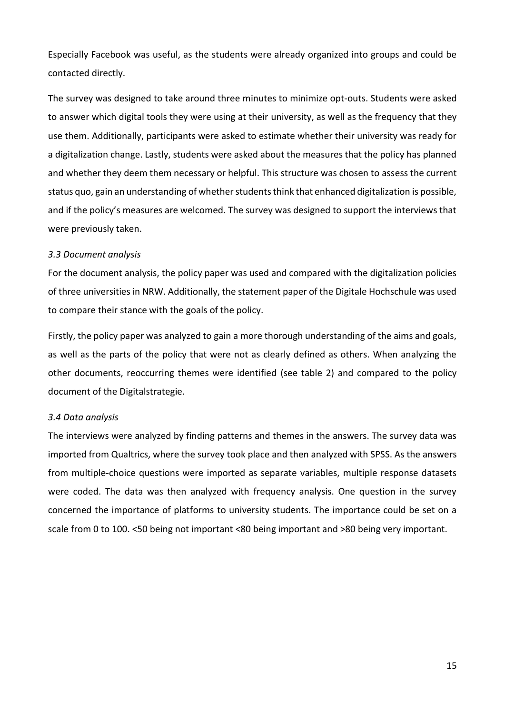Especially Facebook was useful, as the students were already organized into groups and could be contacted directly.

The survey was designed to take around three minutes to minimize opt-outs. Students were asked to answer which digital tools they were using at their university, as well as the frequency that they use them. Additionally, participants were asked to estimate whether their university was ready for a digitalization change. Lastly, students were asked about the measures that the policy has planned and whether they deem them necessary or helpful. This structure was chosen to assess the current status quo, gain an understanding of whether students think that enhanced digitalization is possible, and if the policy's measures are welcomed. The survey was designed to support the interviews that were previously taken.

#### <span id="page-17-0"></span>*3.3 Document analysis*

For the document analysis, the policy paper was used and compared with the digitalization policies of three universities in NRW. Additionally, the statement paper of the Digitale Hochschule was used to compare their stance with the goals of the policy.

Firstly, the policy paper was analyzed to gain a more thorough understanding of the aims and goals, as well as the parts of the policy that were not as clearly defined as others. When analyzing the other documents, reoccurring themes were identified (see table 2) and compared to the policy document of the Digitalstrategie.

#### <span id="page-17-1"></span>*3.4 Data analysis*

The interviews were analyzed by finding patterns and themes in the answers. The survey data was imported from Qualtrics, where the survey took place and then analyzed with SPSS. As the answers from multiple-choice questions were imported as separate variables, multiple response datasets were coded. The data was then analyzed with frequency analysis. One question in the survey concerned the importance of platforms to university students. The importance could be set on a scale from 0 to 100. <50 being not important <80 being important and >80 being very important.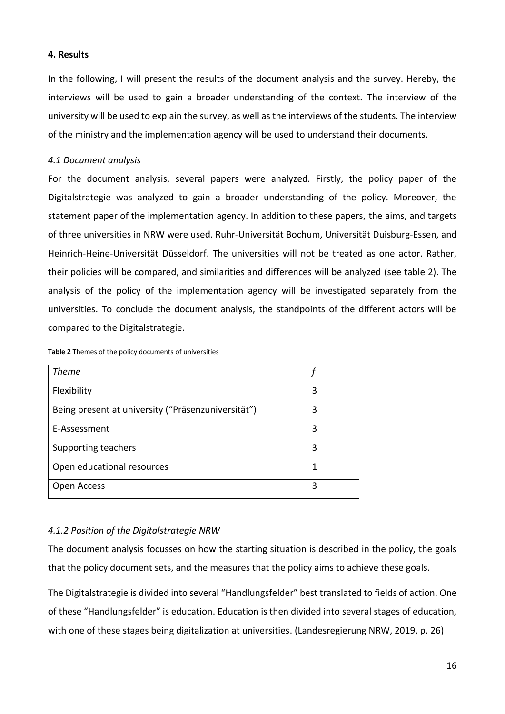## <span id="page-18-0"></span>**4. Results**

In the following, I will present the results of the document analysis and the survey. Hereby, the interviews will be used to gain a broader understanding of the context. The interview of the university will be used to explain the survey, as well as the interviews of the students. The interview of the ministry and the implementation agency will be used to understand their documents.

## <span id="page-18-1"></span>*4.1 Document analysis*

For the document analysis, several papers were analyzed. Firstly, the policy paper of the Digitalstrategie was analyzed to gain a broader understanding of the policy. Moreover, the statement paper of the implementation agency. In addition to these papers, the aims, and targets of three universities in NRW were used. Ruhr-Universität Bochum, Universität Duisburg-Essen, and Heinrich-Heine-Universität Düsseldorf. The universities will not be treated as one actor. Rather, their policies will be compared, and similarities and differences will be analyzed (see table 2). The analysis of the policy of the implementation agency will be investigated separately from the universities. To conclude the document analysis, the standpoints of the different actors will be compared to the Digitalstrategie.

| <b>Theme</b>                                       |   |
|----------------------------------------------------|---|
| Flexibility                                        | 3 |
| Being present at university ("Präsenzuniversität") | 3 |
| E-Assessment                                       | 3 |
| Supporting teachers                                | 3 |
| Open educational resources                         | 1 |
| Open Access                                        | 3 |

**Table 2** Themes of the policy documents of universities

## <span id="page-18-2"></span>*4.1.2 Position of the Digitalstrategie NRW*

The document analysis focusses on how the starting situation is described in the policy, the goals that the policy document sets, and the measures that the policy aims to achieve these goals.

The Digitalstrategie is divided into several "Handlungsfelder" best translated to fields of action. One of these "Handlungsfelder" is education. Education is then divided into several stages of education, with one of these stages being digitalization at universities. (Landesregierung NRW, 2019, p. 26)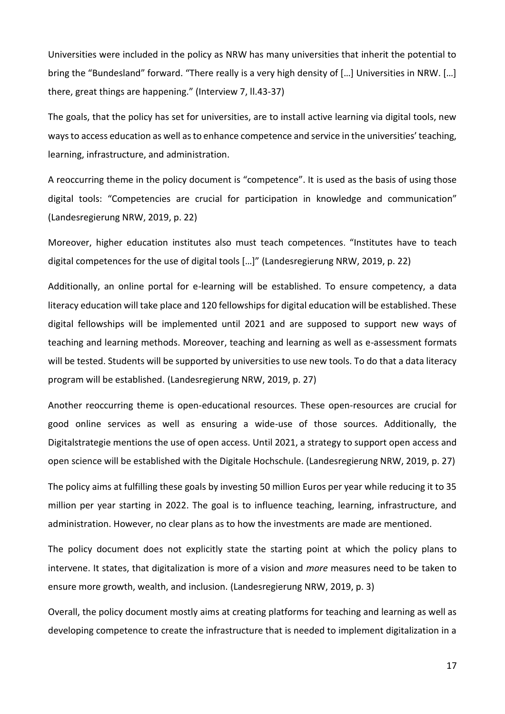Universities were included in the policy as NRW has many universities that inherit the potential to bring the "Bundesland" forward. "There really is a very high density of […] Universities in NRW. […] there, great things are happening." (Interview 7, ll.43-37)

The goals, that the policy has set for universities, are to install active learning via digital tools, new ways to access education as well as to enhance competence and service in the universities' teaching, learning, infrastructure, and administration.

A reoccurring theme in the policy document is "competence". It is used as the basis of using those digital tools: "Competencies are crucial for participation in knowledge and communication" (Landesregierung NRW, 2019, p. 22)

Moreover, higher education institutes also must teach competences. "Institutes have to teach digital competences for the use of digital tools […]" (Landesregierung NRW, 2019, p. 22)

Additionally, an online portal for e-learning will be established. To ensure competency, a data literacy education will take place and 120 fellowships for digital education will be established. These digital fellowships will be implemented until 2021 and are supposed to support new ways of teaching and learning methods. Moreover, teaching and learning as well as e-assessment formats will be tested. Students will be supported by universities to use new tools. To do that a data literacy program will be established. (Landesregierung NRW, 2019, p. 27)

Another reoccurring theme is open-educational resources. These open-resources are crucial for good online services as well as ensuring a wide-use of those sources. Additionally, the Digitalstrategie mentions the use of open access. Until 2021, a strategy to support open access and open science will be established with the Digitale Hochschule. (Landesregierung NRW, 2019, p. 27)

The policy aims at fulfilling these goals by investing 50 million Euros per year while reducing it to 35 million per year starting in 2022. The goal is to influence teaching, learning, infrastructure, and administration. However, no clear plans as to how the investments are made are mentioned.

The policy document does not explicitly state the starting point at which the policy plans to intervene. It states, that digitalization is more of a vision and *more* measures need to be taken to ensure more growth, wealth, and inclusion. (Landesregierung NRW, 2019, p. 3)

Overall, the policy document mostly aims at creating platforms for teaching and learning as well as developing competence to create the infrastructure that is needed to implement digitalization in a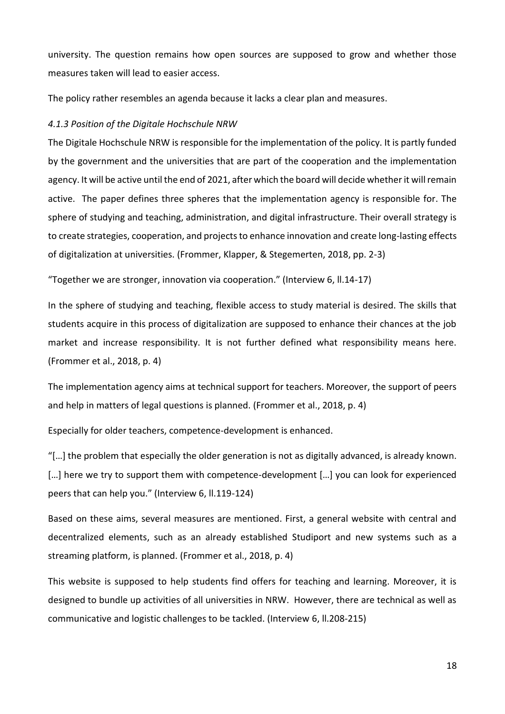university. The question remains how open sources are supposed to grow and whether those measures taken will lead to easier access.

The policy rather resembles an agenda because it lacks a clear plan and measures.

#### <span id="page-20-0"></span>*4.1.3 Position of the Digitale Hochschule NRW*

The Digitale Hochschule NRW is responsible for the implementation of the policy. It is partly funded by the government and the universities that are part of the cooperation and the implementation agency. It will be active until the end of 2021, after which the board will decide whether it will remain active. The paper defines three spheres that the implementation agency is responsible for. The sphere of studying and teaching, administration, and digital infrastructure. Their overall strategy is to create strategies, cooperation, and projects to enhance innovation and create long-lasting effects of digitalization at universities. (Frommer, Klapper, & Stegemerten, 2018, pp. 2-3)

"Together we are stronger, innovation via cooperation." (Interview 6, ll.14-17)

In the sphere of studying and teaching, flexible access to study material is desired. The skills that students acquire in this process of digitalization are supposed to enhance their chances at the job market and increase responsibility. It is not further defined what responsibility means here. (Frommer et al., 2018, p. 4)

The implementation agency aims at technical support for teachers. Moreover, the support of peers and help in matters of legal questions is planned. (Frommer et al., 2018, p. 4)

Especially for older teachers, competence-development is enhanced.

"[ $...$ ] the problem that especially the older generation is not as digitally advanced, is already known. [...] here we try to support them with competence-development [...] you can look for experienced peers that can help you." (Interview 6, ll.119-124)

Based on these aims, several measures are mentioned. First, a general website with central and decentralized elements, such as an already established Studiport and new systems such as a streaming platform, is planned. (Frommer et al., 2018, p. 4)

This website is supposed to help students find offers for teaching and learning. Moreover, it is designed to bundle up activities of all universities in NRW. However, there are technical as well as communicative and logistic challenges to be tackled. (Interview 6, ll.208-215)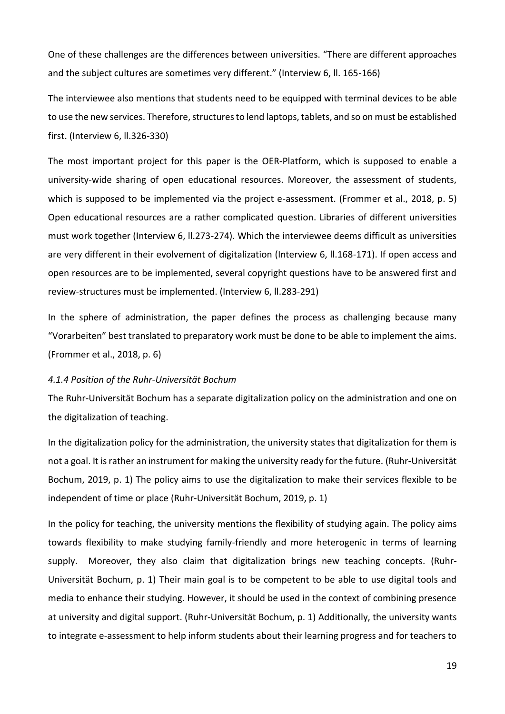One of these challenges are the differences between universities. "There are different approaches and the subject cultures are sometimes very different." (Interview 6, ll. 165-166)

The interviewee also mentions that students need to be equipped with terminal devices to be able to use the new services. Therefore, structures to lend laptops, tablets, and so on must be established first. (Interview 6, ll.326-330)

The most important project for this paper is the OER-Platform, which is supposed to enable a university-wide sharing of open educational resources. Moreover, the assessment of students, which is supposed to be implemented via the project e-assessment. (Frommer et al., 2018, p. 5) Open educational resources are a rather complicated question. Libraries of different universities must work together (Interview 6, ll.273-274). Which the interviewee deems difficult as universities are very different in their evolvement of digitalization (Interview 6, II.168-171). If open access and open resources are to be implemented, several copyright questions have to be answered first and review-structures must be implemented. (Interview 6, ll.283-291)

In the sphere of administration, the paper defines the process as challenging because many "Vorarbeiten" best translated to preparatory work must be done to be able to implement the aims. (Frommer et al., 2018, p. 6)

#### <span id="page-21-0"></span>*4.1.4 Position of the Ruhr-Universität Bochum*

The Ruhr-Universität Bochum has a separate digitalization policy on the administration and one on the digitalization of teaching.

In the digitalization policy for the administration, the university states that digitalization for them is not a goal. It is rather an instrument for making the university ready for the future. (Ruhr-Universität Bochum, 2019, p. 1) The policy aims to use the digitalization to make their services flexible to be independent of time or place (Ruhr-Universität Bochum, 2019, p. 1)

In the policy for teaching, the university mentions the flexibility of studying again. The policy aims towards flexibility to make studying family-friendly and more heterogenic in terms of learning supply. Moreover, they also claim that digitalization brings new teaching concepts. (Ruhr-Universität Bochum, p. 1) Their main goal is to be competent to be able to use digital tools and media to enhance their studying. However, it should be used in the context of combining presence at university and digital support. (Ruhr-Universität Bochum, p. 1) Additionally, the university wants to integrate e-assessment to help inform students about their learning progress and for teachers to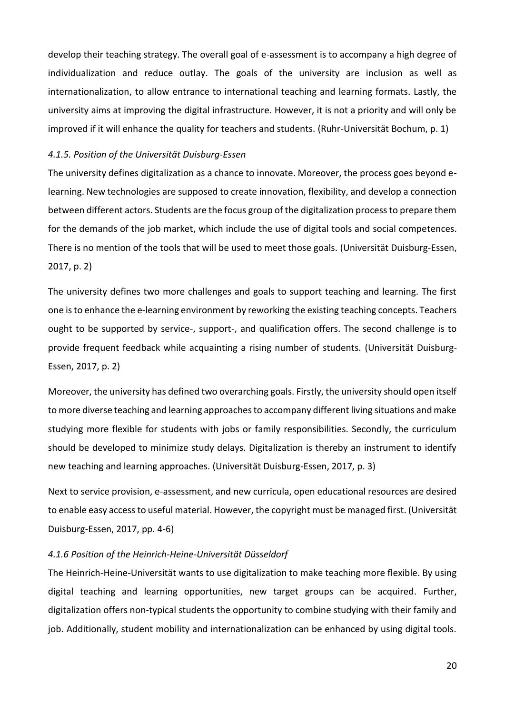develop their teaching strategy. The overall goal of e-assessment is to accompany a high degree of individualization and reduce outlay. The goals of the university are inclusion as well as internationalization, to allow entrance to international teaching and learning formats. Lastly, the university aims at improving the digital infrastructure. However, it is not a priority and will only be improved if it will enhance the quality for teachers and students. (Ruhr-Universität Bochum, p. 1)

### <span id="page-22-0"></span>*4.1.5. Position of the Universität Duisburg-Essen*

The university defines digitalization as a chance to innovate. Moreover, the process goes beyond elearning. New technologies are supposed to create innovation, flexibility, and develop a connection between different actors. Students are the focus group of the digitalization process to prepare them for the demands of the job market, which include the use of digital tools and social competences. There is no mention of the tools that will be used to meet those goals. (Universität Duisburg-Essen, 2017, p. 2)

The university defines two more challenges and goals to support teaching and learning. The first one is to enhance the e-learning environment by reworking the existing teaching concepts. Teachers ought to be supported by service-, support-, and qualification offers. The second challenge is to provide frequent feedback while acquainting a rising number of students. (Universität Duisburg-Essen, 2017, p. 2)

Moreover, the university has defined two overarching goals. Firstly, the university should open itself to more diverse teaching and learning approaches to accompany different living situations and make studying more flexible for students with jobs or family responsibilities. Secondly, the curriculum should be developed to minimize study delays. Digitalization is thereby an instrument to identify new teaching and learning approaches. (Universität Duisburg-Essen, 2017, p. 3)

Next to service provision, e-assessment, and new curricula, open educational resources are desired to enable easy access to useful material. However, the copyright must be managed first. (Universität Duisburg-Essen, 2017, pp. 4-6)

#### <span id="page-22-1"></span>*4.1.6 Position of the Heinrich-Heine-Universität Düsseldorf*

The Heinrich-Heine-Universität wants to use digitalization to make teaching more flexible. By using digital teaching and learning opportunities, new target groups can be acquired. Further, digitalization offers non-typical students the opportunity to combine studying with their family and job. Additionally, student mobility and internationalization can be enhanced by using digital tools.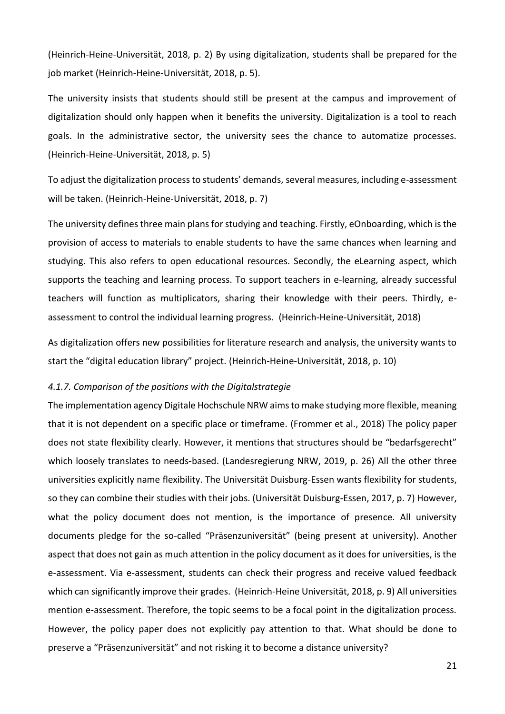(Heinrich-Heine-Universität, 2018, p. 2) By using digitalization, students shall be prepared for the job market (Heinrich-Heine-Universität, 2018, p. 5).

The university insists that students should still be present at the campus and improvement of digitalization should only happen when it benefits the university. Digitalization is a tool to reach goals. In the administrative sector, the university sees the chance to automatize processes. (Heinrich-Heine-Universität, 2018, p. 5)

To adjust the digitalization process to students' demands, several measures, including e-assessment will be taken. (Heinrich-Heine-Universität, 2018, p. 7)

The university defines three main plans for studying and teaching. Firstly, eOnboarding, which is the provision of access to materials to enable students to have the same chances when learning and studying. This also refers to open educational resources. Secondly, the eLearning aspect, which supports the teaching and learning process. To support teachers in e-learning, already successful teachers will function as multiplicators, sharing their knowledge with their peers. Thirdly, eassessment to control the individual learning progress. (Heinrich-Heine-Universität, 2018)

As digitalization offers new possibilities for literature research and analysis, the university wants to start the "digital education library" project. (Heinrich-Heine-Universität, 2018, p. 10)

#### <span id="page-23-0"></span>*4.1.7. Comparison of the positions with the Digitalstrategie*

The implementation agency Digitale Hochschule NRW aims to make studying more flexible, meaning that it is not dependent on a specific place or timeframe. (Frommer et al., 2018) The policy paper does not state flexibility clearly. However, it mentions that structures should be "bedarfsgerecht" which loosely translates to needs-based. (Landesregierung NRW, 2019, p. 26) All the other three universities explicitly name flexibility. The Universität Duisburg-Essen wants flexibility for students, so they can combine their studies with their jobs. (Universität Duisburg-Essen, 2017, p. 7) However, what the policy document does not mention, is the importance of presence. All university documents pledge for the so-called "Präsenzuniversität" (being present at university). Another aspect that does not gain as much attention in the policy document as it does for universities, is the e-assessment. Via e-assessment, students can check their progress and receive valued feedback which can significantly improve their grades. (Heinrich-Heine Universität, 2018, p. 9) All universities mention e-assessment. Therefore, the topic seems to be a focal point in the digitalization process. However, the policy paper does not explicitly pay attention to that. What should be done to preserve a "Präsenzuniversität" and not risking it to become a distance university?

21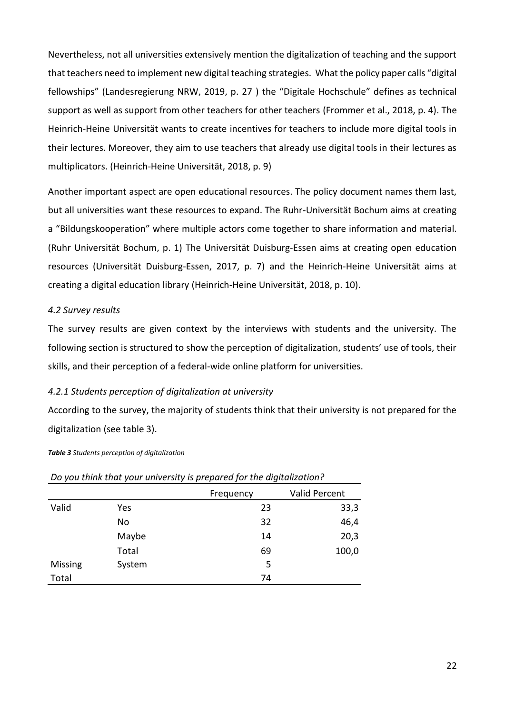Nevertheless, not all universities extensively mention the digitalization of teaching and the support that teachers need to implement new digital teaching strategies. What the policy paper calls "digital fellowships" (Landesregierung NRW, 2019, p. 27 ) the "Digitale Hochschule" defines as technical support as well as support from other teachers for other teachers (Frommer et al., 2018, p. 4). The Heinrich-Heine Universität wants to create incentives for teachers to include more digital tools in their lectures. Moreover, they aim to use teachers that already use digital tools in their lectures as multiplicators. (Heinrich-Heine Universität, 2018, p. 9)

Another important aspect are open educational resources. The policy document names them last, but all universities want these resources to expand. The Ruhr-Universität Bochum aims at creating a "Bildungskooperation" where multiple actors come together to share information and material. (Ruhr Universität Bochum, p. 1) The Universität Duisburg-Essen aims at creating open education resources (Universität Duisburg-Essen, 2017, p. 7) and the Heinrich-Heine Universität aims at creating a digital education library (Heinrich-Heine Universität, 2018, p. 10).

## <span id="page-24-0"></span>*4.2 Survey results*

The survey results are given context by the interviews with students and the university. The following section is structured to show the perception of digitalization, students' use of tools, their skills, and their perception of a federal-wide online platform for universities.

## <span id="page-24-1"></span>*4.2.1 Students perception of digitalization at university*

According to the survey, the majority of students think that their university is not prepared for the digitalization (see table 3).

| $\epsilon$ | ,      | <br>ັ     |                      |
|------------|--------|-----------|----------------------|
|            |        | Frequency | <b>Valid Percent</b> |
| Valid      | Yes    | 23        | 33,3                 |
|            | No     | 32        | 46,4                 |
|            | Maybe  | 14        | 20,3                 |
|            | Total  | 69        | 100,0                |
| Missing    | System | 5         |                      |
| Total      |        | 74        |                      |

*Do you think that your university is prepared for the digitalization?*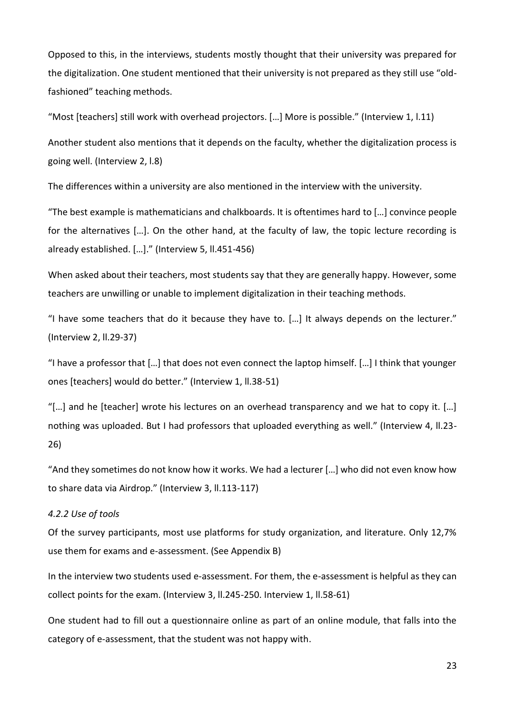Opposed to this, in the interviews, students mostly thought that their university was prepared for the digitalization. One student mentioned that their university is not prepared as they still use "oldfashioned" teaching methods.

"Most [teachers] still work with overhead projectors. […] More is possible." (Interview 1, l.11)

Another student also mentions that it depends on the faculty, whether the digitalization process is going well. (Interview 2, l.8)

The differences within a university are also mentioned in the interview with the university.

"The best example is mathematicians and chalkboards. It is oftentimes hard to […] convince people for the alternatives […]. On the other hand, at the faculty of law, the topic lecture recording is already established. […]." (Interview 5, ll.451-456)

When asked about their teachers, most students say that they are generally happy. However, some teachers are unwilling or unable to implement digitalization in their teaching methods.

"I have some teachers that do it because they have to. […] It always depends on the lecturer." (Interview 2, ll.29-37)

"I have a professor that […] that does not even connect the laptop himself. […] I think that younger ones [teachers] would do better." (Interview 1, ll.38-51)

"[…] and he [teacher] wrote his lectures on an overhead transparency and we hat to copy it. […] nothing was uploaded. But I had professors that uploaded everything as well." (Interview 4, ll.23- 26)

"And they sometimes do not know how it works. We had a lecturer […] who did not even know how to share data via Airdrop." (Interview 3, ll.113-117)

#### <span id="page-25-0"></span>*4.2.2 Use of tools*

Of the survey participants, most use platforms for study organization, and literature. Only 12,7% use them for exams and e-assessment. (See Appendix B)

In the interview two students used e-assessment. For them, the e-assessment is helpful as they can collect points for the exam. (Interview 3, ll.245-250. Interview 1, ll.58-61)

One student had to fill out a questionnaire online as part of an online module, that falls into the category of e-assessment, that the student was not happy with.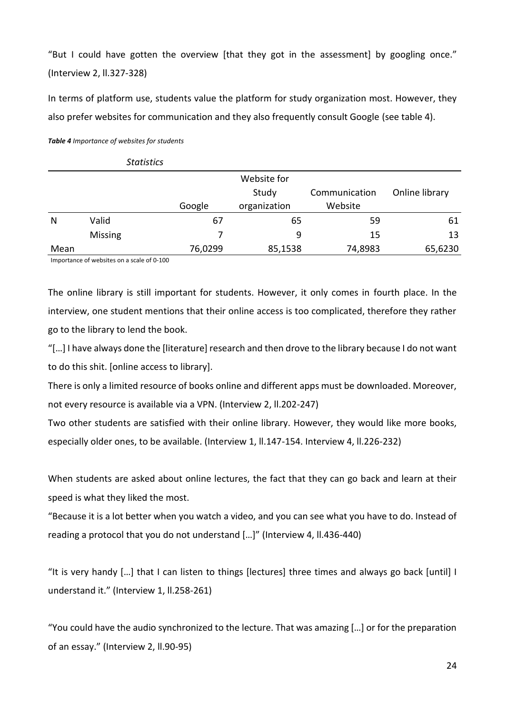"But I could have gotten the overview [that they got in the assessment] by googling once." (Interview 2, ll.327-328)

In terms of platform use, students value the platform for study organization most. However, they also prefer websites for communication and they also frequently consult Google (see table 4).

*Table 4 Importance of websites for students*

|      | <b>Statistics</b> |         |              |               |                |
|------|-------------------|---------|--------------|---------------|----------------|
|      |                   |         | Website for  |               |                |
|      |                   |         | Study        | Communication | Online library |
|      |                   | Google  | organization | Website       |                |
| N    | Valid             | 67      | 65           | 59            | 61             |
|      | <b>Missing</b>    |         | 9            | 15            | 13             |
| Mean |                   | 76,0299 | 85,1538      | 74,8983       | 65,6230        |

Importance of websites on a scale of 0-100

The online library is still important for students. However, it only comes in fourth place. In the interview, one student mentions that their online access is too complicated, therefore they rather go to the library to lend the book.

"[…] I have always done the [literature] research and then drove to the library because I do not want to do this shit. [online access to library].

There is only a limited resource of books online and different apps must be downloaded. Moreover, not every resource is available via a VPN. (Interview 2, ll.202-247)

Two other students are satisfied with their online library. However, they would like more books, especially older ones, to be available. (Interview 1, ll.147-154. Interview 4, ll.226-232)

When students are asked about online lectures, the fact that they can go back and learn at their speed is what they liked the most.

"Because it is a lot better when you watch a video, and you can see what you have to do. Instead of reading a protocol that you do not understand […]" (Interview 4, ll.436-440)

"It is very handy […] that I can listen to things [lectures] three times and always go back [until] I understand it." (Interview 1, ll.258-261)

"You could have the audio synchronized to the lecture. That was amazing […] or for the preparation of an essay." (Interview 2, ll.90-95)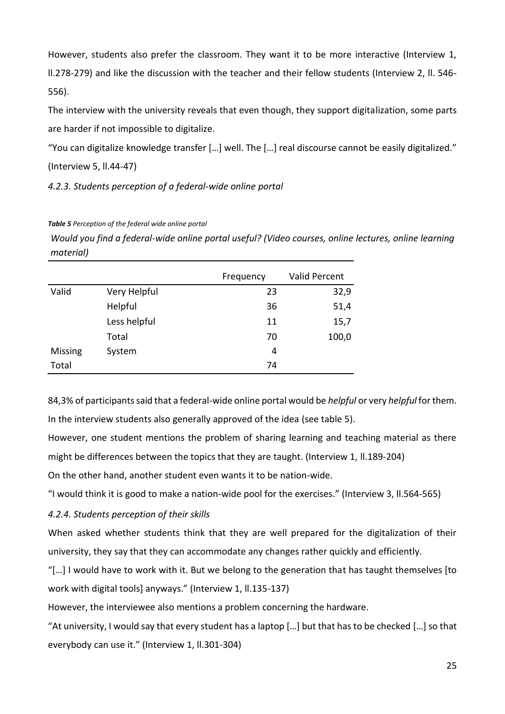However, students also prefer the classroom. They want it to be more interactive (Interview 1, ll.278-279) and like the discussion with the teacher and their fellow students (Interview 2, ll. 546- 556).

The interview with the university reveals that even though, they support digitalization, some parts are harder if not impossible to digitalize.

"You can digitalize knowledge transfer […] well. The […] real discourse cannot be easily digitalized." (Interview 5, ll.44-47)

<span id="page-27-0"></span>*4.2.3. Students perception of a federal-wide online portal* 

## *Table 5 Perception of the federal wide online portal*

*Would you find a federal-wide online portal useful? (Video courses, online lectures, online learning material)*

|         |              | Frequency | Valid Percent |
|---------|--------------|-----------|---------------|
| Valid   | Very Helpful | 23        | 32,9          |
|         | Helpful      | 36        | 51,4          |
|         | Less helpful | 11        | 15,7          |
|         | Total        | 70        | 100,0         |
| Missing | System       | 4         |               |
| Total   |              | 74        |               |

84,3% of participants said that a federal-wide online portal would be *helpful* or very *helpful* for them.

In the interview students also generally approved of the idea (see table 5).

However, one student mentions the problem of sharing learning and teaching material as there might be differences between the topics that they are taught. (Interview 1, ll.189-204)

On the other hand, another student even wants it to be nation-wide.

"I would think it is good to make a nation-wide pool for the exercises." (Interview 3, ll.564-565)

## <span id="page-27-1"></span>*4.2.4. Students perception of their skills*

When asked whether students think that they are well prepared for the digitalization of their university, they say that they can accommodate any changes rather quickly and efficiently.

"[…] I would have to work with it. But we belong to the generation that has taught themselves [to work with digital tools] anyways." (Interview 1, II.135-137)

However, the interviewee also mentions a problem concerning the hardware.

"At university, I would say that every student has a laptop […] but that has to be checked […] so that everybody can use it." (Interview 1, ll.301-304)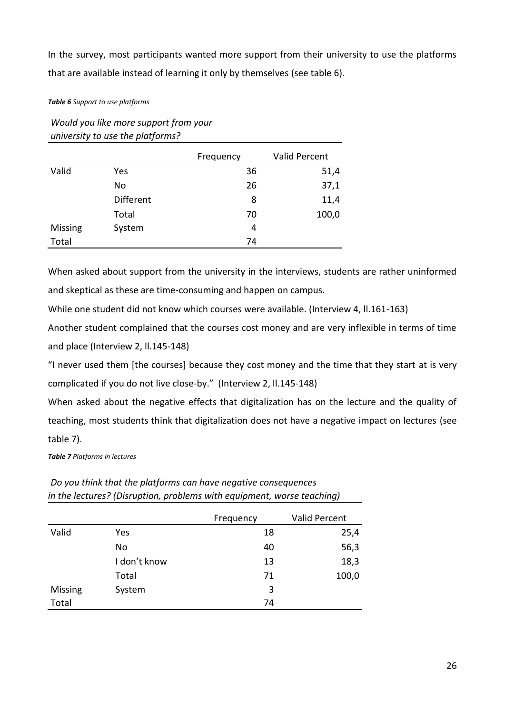In the survey, most participants wanted more support from their university to use the platforms that are available instead of learning it only by themselves (see table 6).

*Table 6 Support to use platforms*

| $\cdot$        | -                |           |                      |
|----------------|------------------|-----------|----------------------|
|                |                  | Frequency | <b>Valid Percent</b> |
| Valid          | Yes              | 36        | 51,4                 |
|                | No               | 26        | 37,1                 |
|                | <b>Different</b> | 8         | 11,4                 |
|                | Total            | 70        | 100,0                |
| <b>Missing</b> | System           | 4         |                      |
| Total          |                  | 74        |                      |

*Would you like more support from your university to use the platforms?*

When asked about support from the university in the interviews, students are rather uninformed and skeptical as these are time-consuming and happen on campus.

While one student did not know which courses were available. (Interview 4, ll.161-163)

Another student complained that the courses cost money and are very inflexible in terms of time and place (Interview 2, ll.145-148)

"I never used them [the courses] because they cost money and the time that they start at is very complicated if you do not live close-by." (Interview 2, ll.145-148)

When asked about the negative effects that digitalization has on the lecture and the quality of teaching, most students think that digitalization does not have a negative impact on lectures (see table 7).

*Table 7 Platforms in lectures*

|         | .            |           | - ----------         |
|---------|--------------|-----------|----------------------|
|         |              | Frequency | <b>Valid Percent</b> |
| Valid   | Yes          | 18        | 25,4                 |
|         | No           | 40        | 56,3                 |
|         | I don't know | 13        | 18,3                 |
|         | Total        | 71        | 100,0                |
| Missing | System       | 3         |                      |
| Total   |              | 74        |                      |

*Do you think that the platforms can have negative consequences in the lectures? (Disruption, problems with equipment, worse teaching)*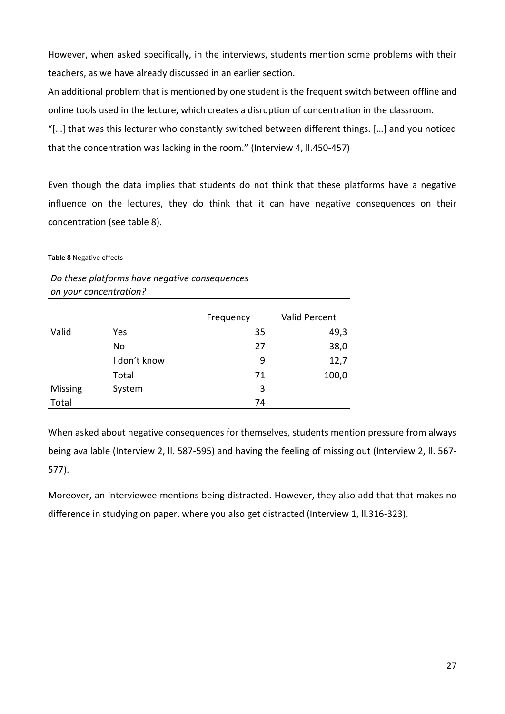However, when asked specifically, in the interviews, students mention some problems with their teachers, as we have already discussed in an earlier section.

An additional problem that is mentioned by one student is the frequent switch between offline and online tools used in the lecture, which creates a disruption of concentration in the classroom.

"[…] that was this lecturer who constantly switched between different things. […] and you noticed that the concentration was lacking in the room." (Interview 4, ll.450-457)

Even though the data implies that students do not think that these platforms have a negative influence on the lectures, they do think that it can have negative consequences on their concentration (see table 8).

**Table 8** Negative effects

*Do these platforms have negative consequences on your concentration?* 

|         |              | Frequency | <b>Valid Percent</b> |
|---------|--------------|-----------|----------------------|
| Valid   | Yes          | 35        | 49,3                 |
|         | No           | 27        | 38,0                 |
|         | I don't know | 9         | 12,7                 |
|         | Total        | 71        | 100,0                |
| Missing | System       | 3         |                      |
| Total   |              | 74        |                      |

When asked about negative consequences for themselves, students mention pressure from always being available (Interview 2, ll. 587-595) and having the feeling of missing out (Interview 2, ll. 567- 577).

Moreover, an interviewee mentions being distracted. However, they also add that that makes no difference in studying on paper, where you also get distracted (Interview 1, ll.316-323).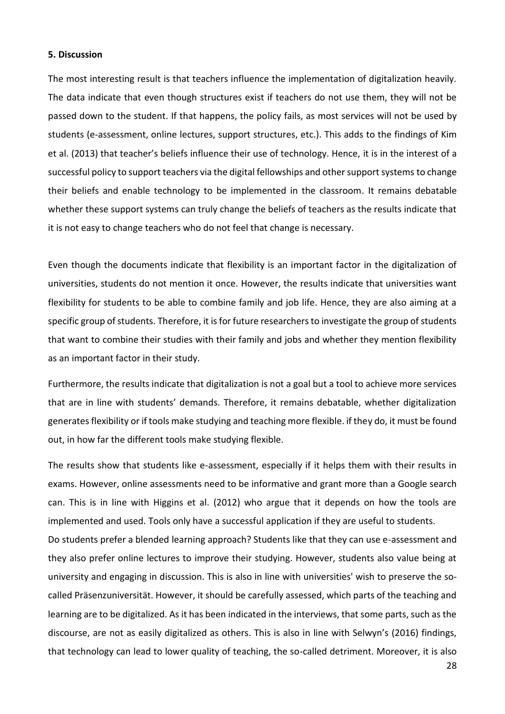#### <span id="page-30-0"></span>**5. Discussion**

The most interesting result is that teachers influence the implementation of digitalization heavily. The data indicate that even though structures exist if teachers do not use them, they will not be passed down to the student. If that happens, the policy fails, as most services will not be used by students (e-assessment, online lectures, support structures, etc.). This adds to the findings of Kim et al. (2013) that teacher's beliefs influence their use of technology. Hence, it is in the interest of a successful policy to support teachers via the digital fellowships and other support systems to change their beliefs and enable technology to be implemented in the classroom. It remains debatable whether these support systems can truly change the beliefs of teachers as the results indicate that it is not easy to change teachers who do not feel that change is necessary.

Even though the documents indicate that flexibility is an important factor in the digitalization of universities, students do not mention it once. However, the results indicate that universities want flexibility for students to be able to combine family and job life. Hence, they are also aiming at a specific group of students. Therefore, it is for future researchers to investigate the group of students that want to combine their studies with their family and jobs and whether they mention flexibility as an important factor in their study.

Furthermore, the results indicate that digitalization is not a goal but a tool to achieve more services that are in line with students' demands. Therefore, it remains debatable, whether digitalization generates flexibility or if tools make studying and teaching more flexible. if they do, it must be found out, in how far the different tools make studying flexible.

The results show that students like e-assessment, especially if it helps them with their results in exams. However, online assessments need to be informative and grant more than a Google search can. This is in line with Higgins et al. (2012) who argue that it depends on how the tools are implemented and used. Tools only have a successful application if they are useful to students. Do students prefer a blended learning approach? Students like that they can use e-assessment and they also prefer online lectures to improve their studying. However, students also value being at university and engaging in discussion. This is also in line with universities' wish to preserve the socalled Präsenzuniversität. However, it should be carefully assessed, which parts of the teaching and learning are to be digitalized. As it has been indicated in the interviews, that some parts, such as the discourse, are not as easily digitalized as others. This is also in line with Selwyn's (2016) findings, that technology can lead to lower quality of teaching, the so-called detriment. Moreover, it is also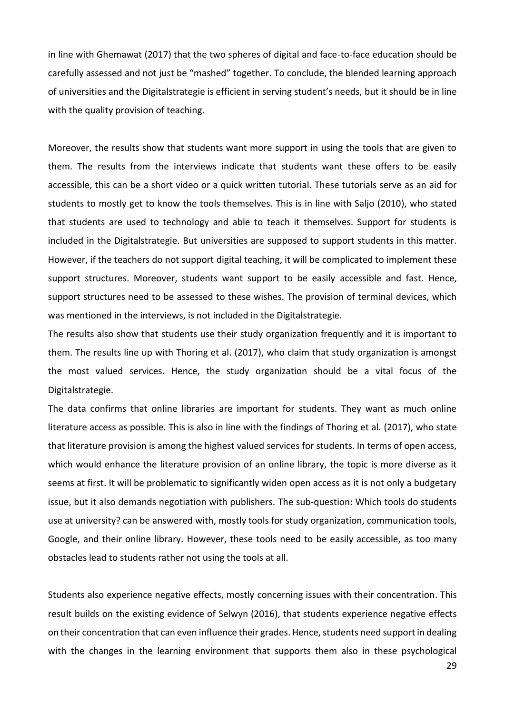in line with Ghemawat (2017) that the two spheres of digital and face-to-face education should be carefully assessed and not just be "mashed" together. To conclude, the blended learning approach of universities and the Digitalstrategie is efficient in serving student's needs, but it should be in line with the quality provision of teaching.

Moreover, the results show that students want more support in using the tools that are given to them. The results from the interviews indicate that students want these offers to be easily accessible, this can be a short video or a quick written tutorial. These tutorials serve as an aid for students to mostly get to know the tools themselves. This is in line with Saljo (2010), who stated that students are used to technology and able to teach it themselves. Support for students is included in the Digitalstrategie. But universities are supposed to support students in this matter. However, if the teachers do not support digital teaching, it will be complicated to implement these support structures. Moreover, students want support to be easily accessible and fast. Hence, support structures need to be assessed to these wishes. The provision of terminal devices, which was mentioned in the interviews, is not included in the Digitalstrategie.

The results also show that students use their study organization frequently and it is important to them. The results line up with Thoring et al. (2017), who claim that study organization is amongst the most valued services. Hence, the study organization should be a vital focus of the Digitalstrategie.

The data confirms that online libraries are important for students. They want as much online literature access as possible. This is also in line with the findings of Thoring et al. (2017), who state that literature provision is among the highest valued services for students. In terms of open access, which would enhance the literature provision of an online library, the topic is more diverse as it seems at first. It will be problematic to significantly widen open access as it is not only a budgetary issue, but it also demands negotiation with publishers. The sub-question: Which tools do students use at university? can be answered with, mostly tools for study organization, communication tools, Google, and their online library. However, these tools need to be easily accessible, as too many obstacles lead to students rather not using the tools at all.

Students also experience negative effects, mostly concerning issues with their concentration. This result builds on the existing evidence of Selwyn (2016), that students experience negative effects on their concentration that can even influence their grades. Hence, students need support in dealing with the changes in the learning environment that supports them also in these psychological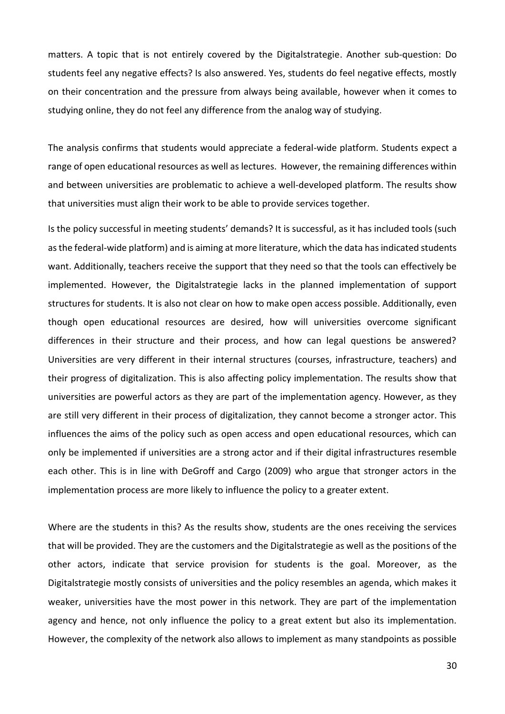matters. A topic that is not entirely covered by the Digitalstrategie. Another sub-question: Do students feel any negative effects? Is also answered. Yes, students do feel negative effects, mostly on their concentration and the pressure from always being available, however when it comes to studying online, they do not feel any difference from the analog way of studying.

The analysis confirms that students would appreciate a federal-wide platform. Students expect a range of open educational resources as well as lectures. However, the remaining differences within and between universities are problematic to achieve a well-developed platform. The results show that universities must align their work to be able to provide services together.

Is the policy successful in meeting students' demands? It is successful, as it has included tools (such as the federal-wide platform) and is aiming at more literature, which the data has indicated students want. Additionally, teachers receive the support that they need so that the tools can effectively be implemented. However, the Digitalstrategie lacks in the planned implementation of support structures for students. It is also not clear on how to make open access possible. Additionally, even though open educational resources are desired, how will universities overcome significant differences in their structure and their process, and how can legal questions be answered? Universities are very different in their internal structures (courses, infrastructure, teachers) and their progress of digitalization. This is also affecting policy implementation. The results show that universities are powerful actors as they are part of the implementation agency. However, as they are still very different in their process of digitalization, they cannot become a stronger actor. This influences the aims of the policy such as open access and open educational resources, which can only be implemented if universities are a strong actor and if their digital infrastructures resemble each other. This is in line with DeGroff and Cargo (2009) who argue that stronger actors in the implementation process are more likely to influence the policy to a greater extent.

Where are the students in this? As the results show, students are the ones receiving the services that will be provided. They are the customers and the Digitalstrategie as well as the positions of the other actors, indicate that service provision for students is the goal. Moreover, as the Digitalstrategie mostly consists of universities and the policy resembles an agenda, which makes it weaker, universities have the most power in this network. They are part of the implementation agency and hence, not only influence the policy to a great extent but also its implementation. However, the complexity of the network also allows to implement as many standpoints as possible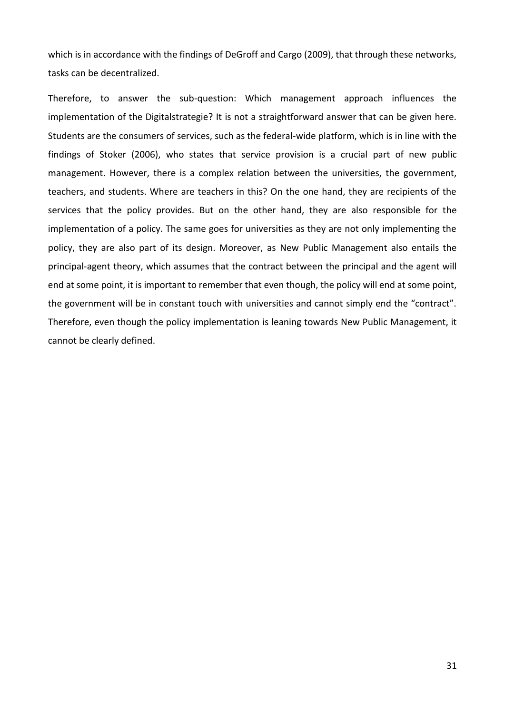which is in accordance with the findings of DeGroff and Cargo (2009), that through these networks, tasks can be decentralized.

Therefore, to answer the sub-question: Which management approach influences the implementation of the Digitalstrategie? It is not a straightforward answer that can be given here. Students are the consumers of services, such as the federal-wide platform, which is in line with the findings of Stoker (2006), who states that service provision is a crucial part of new public management. However, there is a complex relation between the universities, the government, teachers, and students. Where are teachers in this? On the one hand, they are recipients of the services that the policy provides. But on the other hand, they are also responsible for the implementation of a policy. The same goes for universities as they are not only implementing the policy, they are also part of its design. Moreover, as New Public Management also entails the principal-agent theory, which assumes that the contract between the principal and the agent will end at some point, it is important to remember that even though, the policy will end at some point, the government will be in constant touch with universities and cannot simply end the "contract". Therefore, even though the policy implementation is leaning towards New Public Management, it cannot be clearly defined.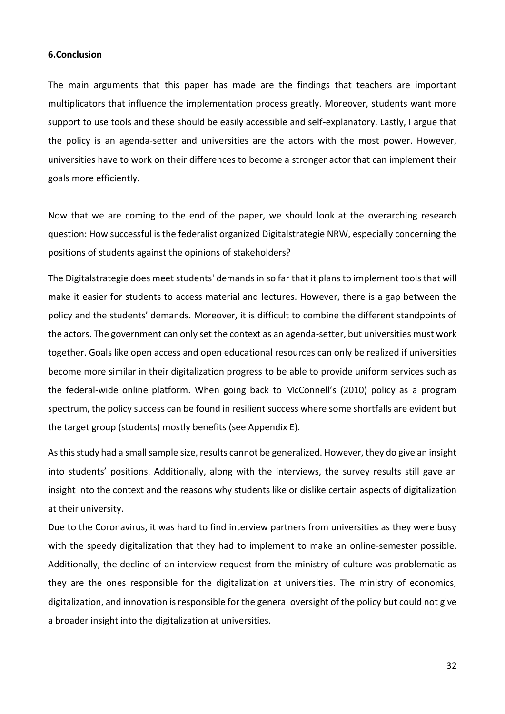#### <span id="page-34-0"></span>**6.Conclusion**

The main arguments that this paper has made are the findings that teachers are important multiplicators that influence the implementation process greatly. Moreover, students want more support to use tools and these should be easily accessible and self-explanatory. Lastly, I argue that the policy is an agenda-setter and universities are the actors with the most power. However, universities have to work on their differences to become a stronger actor that can implement their goals more efficiently.

Now that we are coming to the end of the paper, we should look at the overarching research question: How successful is the federalist organized Digitalstrategie NRW, especially concerning the positions of students against the opinions of stakeholders?

The Digitalstrategie does meet students' demands in so far that it plans to implement tools that will make it easier for students to access material and lectures. However, there is a gap between the policy and the students' demands. Moreover, it is difficult to combine the different standpoints of the actors. The government can only set the context as an agenda-setter, but universities must work together. Goals like open access and open educational resources can only be realized if universities become more similar in their digitalization progress to be able to provide uniform services such as the federal-wide online platform. When going back to McConnell's (2010) policy as a program spectrum, the policy success can be found in resilient success where some shortfalls are evident but the target group (students) mostly benefits (see Appendix E).

As this study had a small sample size, results cannot be generalized. However, they do give an insight into students' positions. Additionally, along with the interviews, the survey results still gave an insight into the context and the reasons why students like or dislike certain aspects of digitalization at their university.

Due to the Coronavirus, it was hard to find interview partners from universities as they were busy with the speedy digitalization that they had to implement to make an online-semester possible. Additionally, the decline of an interview request from the ministry of culture was problematic as they are the ones responsible for the digitalization at universities. The ministry of economics, digitalization, and innovation is responsible for the general oversight of the policy but could not give a broader insight into the digitalization at universities.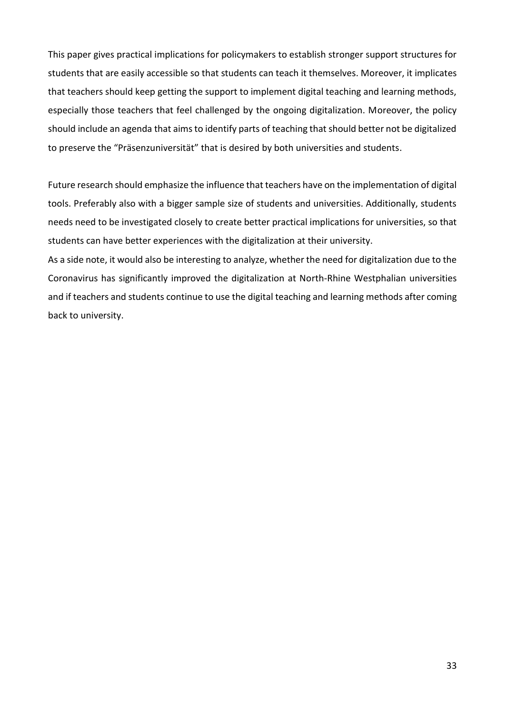This paper gives practical implications for policymakers to establish stronger support structures for students that are easily accessible so that students can teach it themselves. Moreover, it implicates that teachers should keep getting the support to implement digital teaching and learning methods, especially those teachers that feel challenged by the ongoing digitalization. Moreover, the policy should include an agenda that aims to identify parts of teaching that should better not be digitalized to preserve the "Präsenzuniversität" that is desired by both universities and students.

Future research should emphasize the influence that teachers have on the implementation of digital tools. Preferably also with a bigger sample size of students and universities. Additionally, students needs need to be investigated closely to create better practical implications for universities, so that students can have better experiences with the digitalization at their university.

As a side note, it would also be interesting to analyze, whether the need for digitalization due to the Coronavirus has significantly improved the digitalization at North-Rhine Westphalian universities and if teachers and students continue to use the digital teaching and learning methods after coming back to university.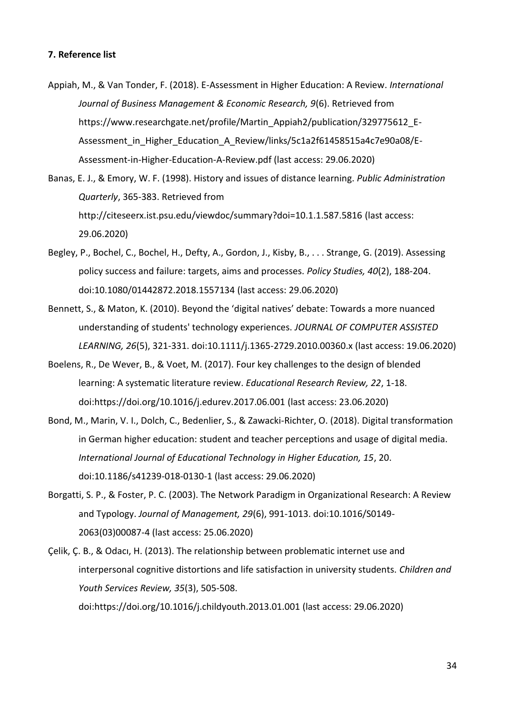- <span id="page-36-0"></span>Appiah, M., & Van Tonder, F. (2018). E-Assessment in Higher Education: A Review. *International Journal of Business Management & Economic Research, 9*(6). Retrieved from https://www.researchgate.net/profile/Martin\_Appiah2/publication/329775612\_E-Assessment in Higher Education A Review/links/5c1a2f61458515a4c7e90a08/E-Assessment-in-Higher-Education-A-Review.pdf (last access: 29.06.2020)
- Banas, E. J., & Emory, W. F. (1998). History and issues of distance learning. *Public Administration Quarterly*, 365-383. Retrieved from http://citeseerx.ist.psu.edu/viewdoc/summary?doi=10.1.1.587.5816 (last access: 29.06.2020)
- Begley, P., Bochel, C., Bochel, H., Defty, A., Gordon, J., Kisby, B., . . . Strange, G. (2019). Assessing policy success and failure: targets, aims and processes. *Policy Studies, 40*(2), 188-204. doi:10.1080/01442872.2018.1557134 (last access: 29.06.2020)
- Bennett, S., & Maton, K. (2010). Beyond the 'digital natives' debate: Towards a more nuanced understanding of students' technology experiences. *JOURNAL OF COMPUTER ASSISTED LEARNING, 26*(5), 321-331. doi:10.1111/j.1365-2729.2010.00360.x (last access: 19.06.2020)
- Boelens, R., De Wever, B., & Voet, M. (2017). Four key challenges to the design of blended learning: A systematic literature review. *Educational Research Review, 22*, 1-18. doi:https://doi.org/10.1016/j.edurev.2017.06.001 (last access: 23.06.2020)
- Bond, M., Marin, V. I., Dolch, C., Bedenlier, S., & Zawacki-Richter, O. (2018). Digital transformation in German higher education: student and teacher perceptions and usage of digital media. *International Journal of Educational Technology in Higher Education, 15*, 20. doi:10.1186/s41239-018-0130-1 (last access: 29.06.2020)
- Borgatti, S. P., & Foster, P. C. (2003). The Network Paradigm in Organizational Research: A Review and Typology. *Journal of Management, 29*(6), 991-1013. doi:10.1016/S0149- 2063(03)00087-4 (last access: 25.06.2020)
- Çelik, Ç. B., & Odacı, H. (2013). The relationship between problematic internet use and interpersonal cognitive distortions and life satisfaction in university students. *Children and Youth Services Review, 35*(3), 505-508. doi:https://doi.org/10.1016/j.childyouth.2013.01.001 (last access: 29.06.2020)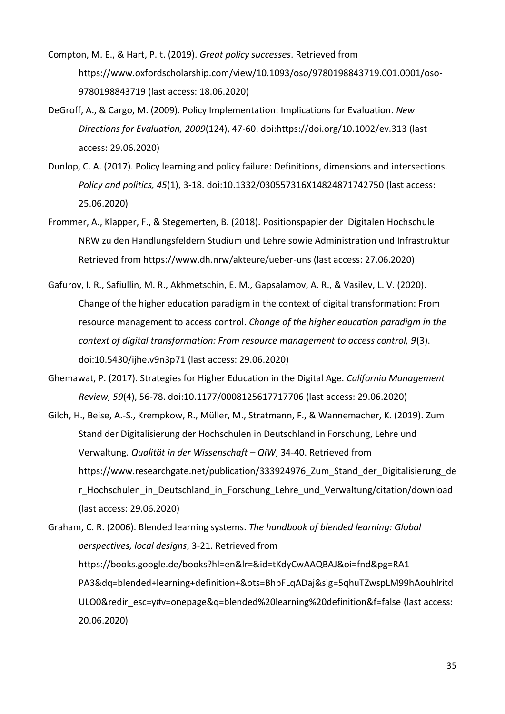- Compton, M. E., & Hart, P. t. (2019). *Great policy successes*. Retrieved from https://www.oxfordscholarship.com/view/10.1093/oso/9780198843719.001.0001/oso-9780198843719 (last access: 18.06.2020)
- DeGroff, A., & Cargo, M. (2009). Policy Implementation: Implications for Evaluation. *New Directions for Evaluation, 2009*(124), 47-60. doi:https://doi.org/10.1002/ev.313 (last access: 29.06.2020)
- Dunlop, C. A. (2017). Policy learning and policy failure: Definitions, dimensions and intersections. *Policy and politics, 45*(1), 3-18. doi:10.1332/030557316X14824871742750 (last access: 25.06.2020)
- Frommer, A., Klapper, F., & Stegemerten, B. (2018). Positionspapier der Digitalen Hochschule NRW zu den Handlungsfeldern Studium und Lehre sowie Administration und Infrastruktur Retrieved from https://www.dh.nrw/akteure/ueber-uns (last access: 27.06.2020)
- Gafurov, I. R., Safiullin, M. R., Akhmetschin, E. M., Gapsalamov, A. R., & Vasilev, L. V. (2020). Change of the higher education paradigm in the context of digital transformation: From resource management to access control. *Change of the higher education paradigm in the context of digital transformation: From resource management to access control, 9*(3). doi:10.5430/ijhe.v9n3p71 (last access: 29.06.2020)
- Ghemawat, P. (2017). Strategies for Higher Education in the Digital Age. *California Management Review, 59*(4), 56-78. doi:10.1177/0008125617717706 (last access: 29.06.2020)
- Gilch, H., Beise, A.-S., Krempkow, R., Müller, M., Stratmann, F., & Wannemacher, K. (2019). Zum Stand der Digitalisierung der Hochschulen in Deutschland in Forschung, Lehre und Verwaltung. *Qualität in der Wissenschaft – QiW*, 34-40. Retrieved from https://www.researchgate.net/publication/333924976\_Zum\_Stand\_der\_Digitalisierung\_de r Hochschulen in Deutschland in Forschung Lehre und Verwaltung/citation/download (last access: 29.06.2020)

Graham, C. R. (2006). Blended learning systems. *The handbook of blended learning: Global perspectives, local designs*, 3-21. Retrieved from https://books.google.de/books?hl=en&lr=&id=tKdyCwAAQBAJ&oi=fnd&pg=RA1- PA3&dq=blended+learning+definition+&ots=BhpFLqADaj&sig=5qhuTZwspLM99hAouhlritd ULO0&redir\_esc=y#v=onepage&q=blended%20learning%20definition&f=false (last access: 20.06.2020)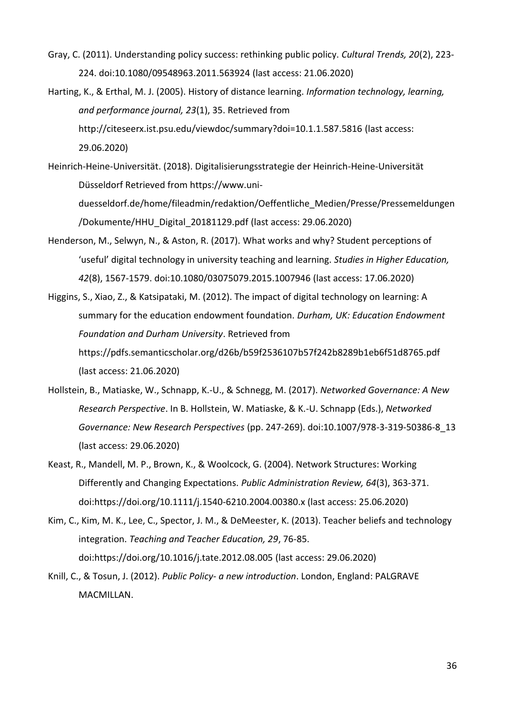- Gray, C. (2011). Understanding policy success: rethinking public policy. *Cultural Trends, 20*(2), 223- 224. doi:10.1080/09548963.2011.563924 (last access: 21.06.2020)
- Harting, K., & Erthal, M. J. (2005). History of distance learning. *Information technology, learning, and performance journal, 23*(1), 35. Retrieved from http://citeseerx.ist.psu.edu/viewdoc/summary?doi=10.1.1.587.5816 (last access: 29.06.2020)
- Heinrich-Heine-Universität. (2018). Digitalisierungsstrategie der Heinrich-Heine-Universität Düsseldorf Retrieved from https://www.uniduesseldorf.de/home/fileadmin/redaktion/Oeffentliche\_Medien/Presse/Pressemeldungen /Dokumente/HHU\_Digital\_20181129.pdf (last access: 29.06.2020)
- Henderson, M., Selwyn, N., & Aston, R. (2017). What works and why? Student perceptions of 'useful' digital technology in university teaching and learning. *Studies in Higher Education, 42*(8), 1567-1579. doi:10.1080/03075079.2015.1007946 (last access: 17.06.2020)

Higgins, S., Xiao, Z., & Katsipataki, M. (2012). The impact of digital technology on learning: A summary for the education endowment foundation. *Durham, UK: Education Endowment Foundation and Durham University*. Retrieved from https://pdfs.semanticscholar.org/d26b/b59f2536107b57f242b8289b1eb6f51d8765.pdf (last access: 21.06.2020)

- Hollstein, B., Matiaske, W., Schnapp, K.-U., & Schnegg, M. (2017). *Networked Governance: A New Research Perspective*. In B. Hollstein, W. Matiaske, & K.-U. Schnapp (Eds.), *Networked Governance: New Research Perspectives* (pp. 247-269). doi:10.1007/978-3-319-50386-8\_13 (last access: 29.06.2020)
- Keast, R., Mandell, M. P., Brown, K., & Woolcock, G. (2004). Network Structures: Working Differently and Changing Expectations. *Public Administration Review, 64*(3), 363-371. doi:https://doi.org/10.1111/j.1540-6210.2004.00380.x (last access: 25.06.2020)
- Kim, C., Kim, M. K., Lee, C., Spector, J. M., & DeMeester, K. (2013). Teacher beliefs and technology integration. *Teaching and Teacher Education, 29*, 76-85. doi:https://doi.org/10.1016/j.tate.2012.08.005 (last access: 29.06.2020)
- Knill, C., & Tosun, J. (2012). *Public Policy- a new introduction*. London, England: PALGRAVE MACMILLAN.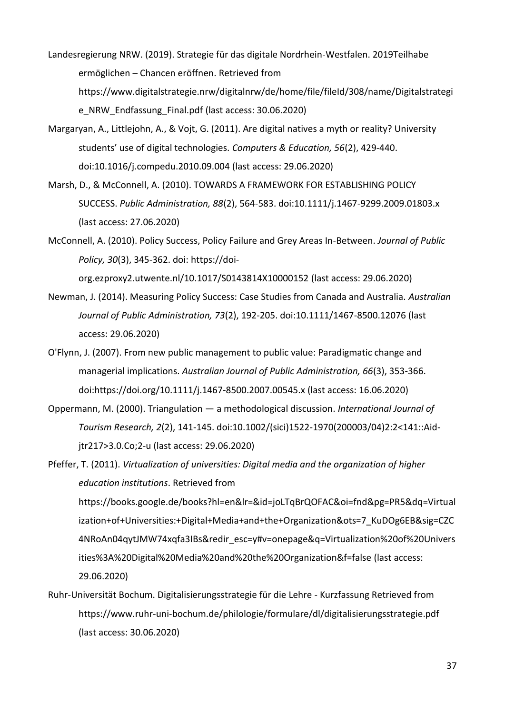Landesregierung NRW. (2019). Strategie für das digitale Nordrhein-Westfalen. 2019Teilhabe ermöglichen – Chancen eröffnen. Retrieved from https://www.digitalstrategie.nrw/digitalnrw/de/home/file/fileId/308/name/Digitalstrategi e\_NRW\_Endfassung\_Final.pdf (last access: 30.06.2020)

- Margaryan, A., Littlejohn, A., & Vojt, G. (2011). Are digital natives a myth or reality? University students' use of digital technologies. *Computers & Education, 56*(2), 429-440. doi:10.1016/j.compedu.2010.09.004 (last access: 29.06.2020)
- Marsh, D., & McConnell, A. (2010). TOWARDS A FRAMEWORK FOR ESTABLISHING POLICY SUCCESS. *Public Administration, 88*(2), 564-583. doi:10.1111/j.1467-9299.2009.01803.x (last access: 27.06.2020)
- McConnell, A. (2010). Policy Success, Policy Failure and Grey Areas In-Between. *Journal of Public Policy, 30*(3), 345-362. doi: https://doi-

org.ezproxy2.utwente.nl/10.1017/S0143814X10000152 (last access: 29.06.2020)

- Newman, J. (2014). Measuring Policy Success: Case Studies from Canada and Australia. *Australian Journal of Public Administration, 73*(2), 192-205. doi:10.1111/1467-8500.12076 (last access: 29.06.2020)
- O'Flynn, J. (2007). From new public management to public value: Paradigmatic change and managerial implications. *Australian Journal of Public Administration, 66*(3), 353-366. doi:https://doi.org/10.1111/j.1467-8500.2007.00545.x (last access: 16.06.2020)
- Oppermann, M. (2000). Triangulation a methodological discussion. *International Journal of Tourism Research, 2*(2), 141-145. doi:10.1002/(sici)1522-1970(200003/04)2:2<141::Aidjtr217>3.0.Co;2-u (last access: 29.06.2020)

Pfeffer, T. (2011). *Virtualization of universities: Digital media and the organization of higher education institutions*. Retrieved from https://books.google.de/books?hl=en&lr=&id=joLTqBrQOFAC&oi=fnd&pg=PR5&dq=Virtual ization+of+Universities:+Digital+Media+and+the+Organization&ots=7\_KuDOg6EB&sig=CZC 4NRoAn04qytJMW74xqfa3IBs&redir\_esc=y#v=onepage&q=Virtualization%20of%20Univers ities%3A%20Digital%20Media%20and%20the%20Organization&f=false (last access: 29.06.2020)

Ruhr-Universität Bochum. Digitalisierungsstrategie für die Lehre - Kurzfassung Retrieved from https://www.ruhr-uni-bochum.de/philologie/formulare/dl/digitalisierungsstrategie.pdf (last access: 30.06.2020)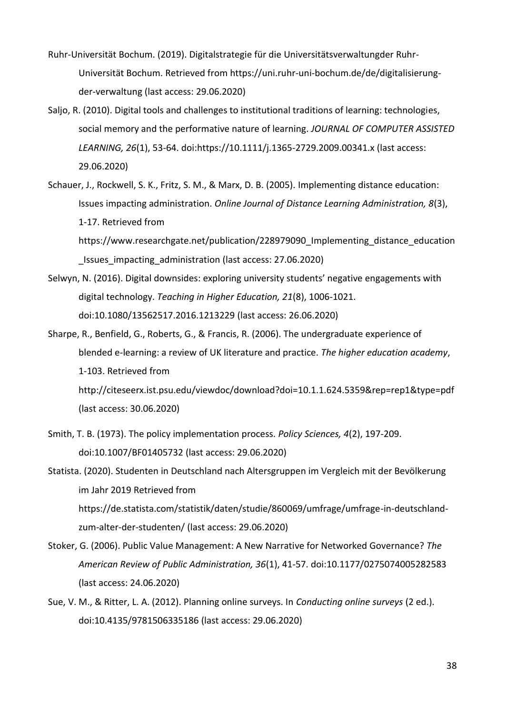- Ruhr-Universität Bochum. (2019). Digitalstrategie für die Universitätsverwaltungder Ruhr-Universität Bochum. Retrieved from https://uni.ruhr-uni-bochum.de/de/digitalisierungder-verwaltung (last access: 29.06.2020)
- Saljo, R. (2010). Digital tools and challenges to institutional traditions of learning: technologies, social memory and the performative nature of learning. *JOURNAL OF COMPUTER ASSISTED LEARNING, 26*(1), 53-64. doi:https://10.1111/j.1365-2729.2009.00341.x (last access: 29.06.2020)
- Schauer, J., Rockwell, S. K., Fritz, S. M., & Marx, D. B. (2005). Implementing distance education: Issues impacting administration. *Online Journal of Distance Learning Administration, 8*(3), 1-17. Retrieved from

https://www.researchgate.net/publication/228979090 Implementing distance education \_Issues\_impacting\_administration (last access: 27.06.2020)

- Selwyn, N. (2016). Digital downsides: exploring university students' negative engagements with digital technology. *Teaching in Higher Education, 21*(8), 1006-1021. doi:10.1080/13562517.2016.1213229 (last access: 26.06.2020)
- Sharpe, R., Benfield, G., Roberts, G., & Francis, R. (2006). The undergraduate experience of blended e-learning: a review of UK literature and practice. *The higher education academy*, 1-103. Retrieved from http://citeseerx.ist.psu.edu/viewdoc/download?doi=10.1.1.624.5359&rep=rep1&type=pdf (last access: 30.06.2020)
- Smith, T. B. (1973). The policy implementation process. *Policy Sciences, 4*(2), 197-209. doi:10.1007/BF01405732 (last access: 29.06.2020)

Statista. (2020). Studenten in Deutschland nach Altersgruppen im Vergleich mit der Bevölkerung im Jahr 2019 Retrieved from https://de.statista.com/statistik/daten/studie/860069/umfrage/umfrage-in-deutschlandzum-alter-der-studenten/ (last access: 29.06.2020)

- Stoker, G. (2006). Public Value Management: A New Narrative for Networked Governance? *The American Review of Public Administration, 36*(1), 41-57. doi:10.1177/0275074005282583 (last access: 24.06.2020)
- Sue, V. M., & Ritter, L. A. (2012). Planning online surveys. In *Conducting online surveys* (2 ed.). doi:10.4135/9781506335186 (last access: 29.06.2020)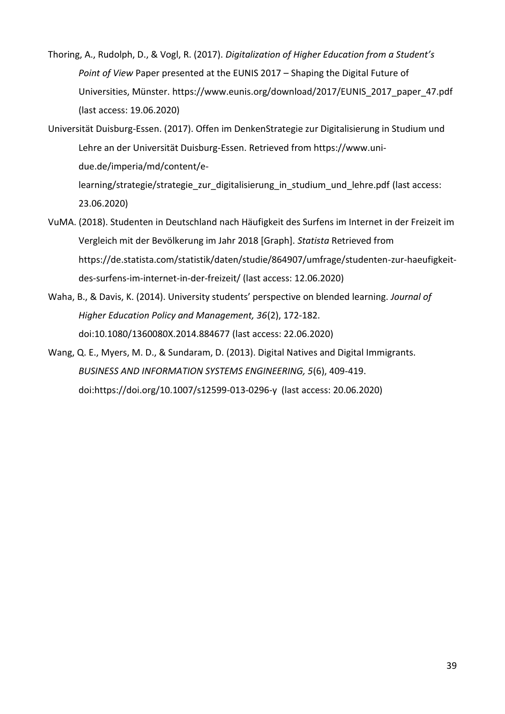- Thoring, A., Rudolph, D., & Vogl, R. (2017). *Digitalization of Higher Education from a Student's Point of View* Paper presented at the EUNIS 2017 – Shaping the Digital Future of Universities, Münster. https://www.eunis.org/download/2017/EUNIS\_2017\_paper\_47.pdf (last access: 19.06.2020)
- Universität Duisburg-Essen. (2017). Offen im DenkenStrategie zur Digitalisierung in Studium und Lehre an der Universität Duisburg-Essen. Retrieved from https://www.unidue.de/imperia/md/content/elearning/strategie/strategie\_zur\_digitalisierung\_in\_studium\_und\_lehre.pdf (last access: 23.06.2020)
- VuMA. (2018). Studenten in Deutschland nach Häufigkeit des Surfens im Internet in der Freizeit im Vergleich mit der Bevölkerung im Jahr 2018 [Graph]. *Statista* Retrieved from https://de.statista.com/statistik/daten/studie/864907/umfrage/studenten-zur-haeufigkeitdes-surfens-im-internet-in-der-freizeit/ (last access: 12.06.2020)
- Waha, B., & Davis, K. (2014). University students' perspective on blended learning. *Journal of Higher Education Policy and Management, 36*(2), 172-182. doi:10.1080/1360080X.2014.884677 (last access: 22.06.2020)
- Wang, Q. E., Myers, M. D., & Sundaram, D. (2013). Digital Natives and Digital Immigrants. *BUSINESS AND INFORMATION SYSTEMS ENGINEERING, 5*(6), 409-419. doi:https://doi.org/10.1007/s12599-013-0296-y (last access: 20.06.2020)